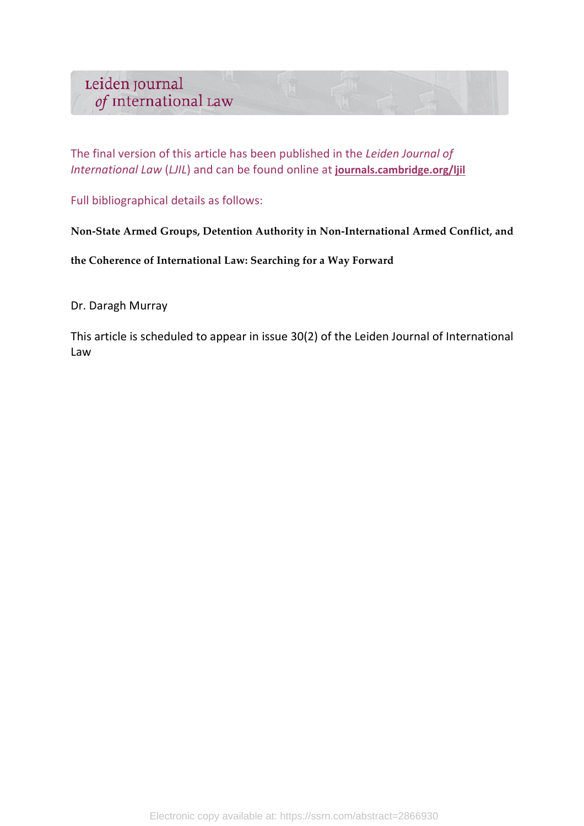The final version of this article has been published in the *Leiden Journal of International Law (LJIL)* and can be found online at journals.cambridge.org/ljil

Full bibliographical details as follows:

**Non-State Armed Groups, Detention Authority in Non-International Armed Conflict, and** 

**the Coherence of International Law: Searching for a Way Forward**

Dr. Daragh Murray

This article is scheduled to appear in issue 30(2) of the Leiden Journal of International Law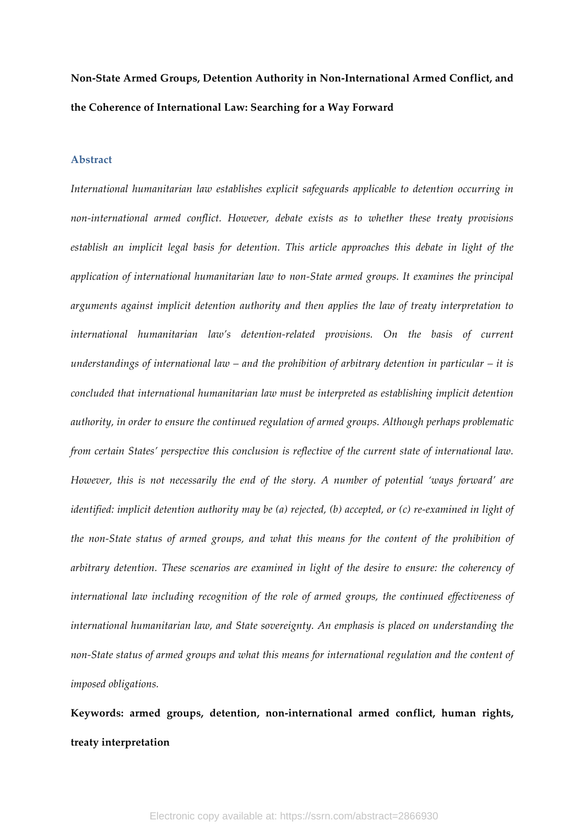# **Non-State Armed Groups, Detention Authority in Non-International Armed Conflict, and the Coherence of International Law: Searching for a Way Forward**

#### **Abstract**

*International humanitarian law establishes explicit safeguards applicable to detention occurring in non-international armed conflict. However, debate exists as to whether these treaty provisions establish an implicit legal basis for detention. This article approaches this debate in light of the application of international humanitarian law to non-State armed groups. It examines the principal arguments against implicit detention authority and then applies the law of treaty interpretation to international humanitarian law's detention-related provisions. On the basis of current understandings of international law – and the prohibition of arbitrary detention in particular – it is concluded that international humanitarian law must be interpreted as establishing implicit detention authority, in order to ensure the continued regulation of armed groups. Although perhaps problematic from certain States' perspective this conclusion is reflective of the current state of international law. However, this is not necessarily the end of the story. A number of potential 'ways forward' are identified: implicit detention authority may be (a) rejected, (b) accepted, or (c) re-examined in light of the non-State status of armed groups, and what this means for the content of the prohibition of arbitrary detention. These scenarios are examined in light of the desire to ensure: the coherency of international law including recognition of the role of armed groups, the continued effectiveness of international humanitarian law, and State sovereignty. An emphasis is placed on understanding the non-State status of armed groups and what this means for international regulation and the content of imposed obligations.*

**Keywords: armed groups, detention, non-international armed conflict, human rights, treaty interpretation**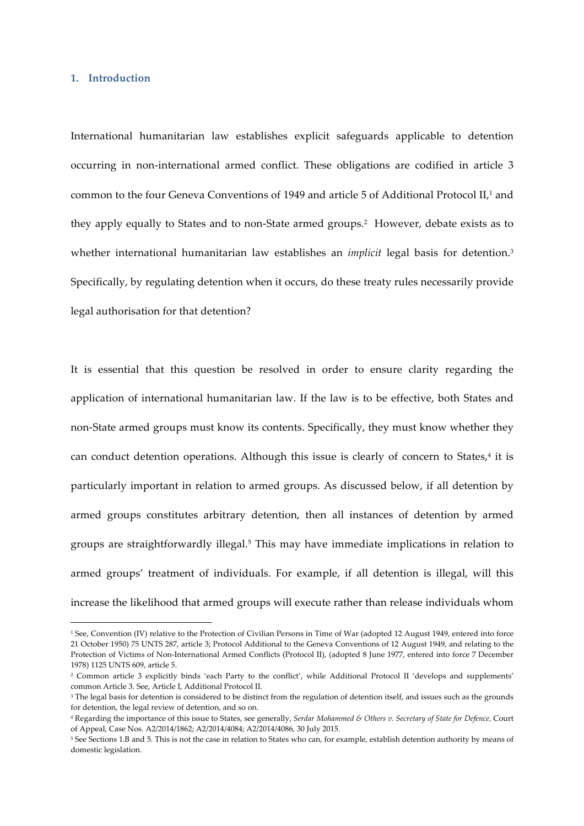#### **1. Introduction**

<u> 1989 - Johann Barn, mars ann an t-Amhain an t-Amhain an t-Amhain an t-Amhain an t-Amhain an t-Amhain an t-Amh</u>

International humanitarian law establishes explicit safeguards applicable to detention occurring in non-international armed conflict. These obligations are codified in article 3 common to the four Geneva Conventions of 1949 and article 5 of Additional Protocol II,<sup>1</sup> and they apply equally to States and to non-State armed groups.<sup>2</sup> However, debate exists as to whether international humanitarian law establishes an *implicit* legal basis for detention.<sup>3</sup> Specifically, by regulating detention when it occurs, do these treaty rules necessarily provide legal authorisation for that detention?

It is essential that this question be resolved in order to ensure clarity regarding the application of international humanitarian law. If the law is to be effective, both States and non-State armed groups must know its contents. Specifically, they must know whether they can conduct detention operations. Although this issue is clearly of concern to States, $4$  it is particularly important in relation to armed groups. As discussed below, if all detention by armed groups constitutes arbitrary detention, then all instances of detention by armed groups are straightforwardly illegal.5 This may have immediate implications in relation to armed groups' treatment of individuals. For example, if all detention is illegal, will this increase the likelihood that armed groups will execute rather than release individuals whom

<sup>1</sup> See, Convention (IV) relative to the Protection of Civilian Persons in Time of War (adopted 12 August 1949, entered into force 21 October 1950) 75 UNTS 287, article 3; Protocol Additional to the Geneva Conventions of 12 August 1949, and relating to the Protection of Victims of Non-International Armed Conflicts (Protocol II), (adopted 8 June 1977, entered into force 7 December 1978) 1125 UNTS 609, article 5.

<sup>2</sup> Common article 3 explicitly binds 'each Party to the conflict', while Additional Protocol II 'develops and supplements' common Article 3. See, Article I, Additional Protocol II.

<sup>&</sup>lt;sup>3</sup> The legal basis for detention is considered to be distinct from the regulation of detention itself, and issues such as the grounds for detention, the legal review of detention, and so on.

<sup>4</sup> Regarding the importance of this issue to States, see generally, *Serdar Mohammed & Others v. Secretary of State for Defence,* Court of Appeal, Case Nos. A2/2014/1862; A2/2014/4084; A2/2014/4086, 30 July 2015.

<sup>5</sup> See Sections 1.B and 5. This is not the case in relation to States who can, for example, establish detention authority by means of domestic legislation.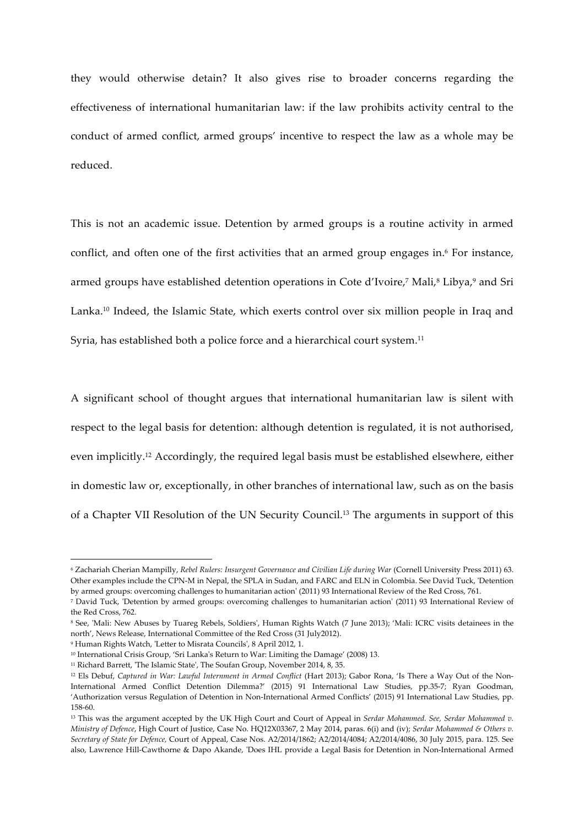they would otherwise detain? It also gives rise to broader concerns regarding the effectiveness of international humanitarian law: if the law prohibits activity central to the conduct of armed conflict, armed groups' incentive to respect the law as a whole may be reduced.

This is not an academic issue. Detention by armed groups is a routine activity in armed conflict, and often one of the first activities that an armed group engages in.<sup>6</sup> For instance, armed groups have established detention operations in Cote d'Ivoire,<sup>7</sup> Mali,<sup>8</sup> Libya,<sup>9</sup> and Sri Lanka.<sup>10</sup> Indeed, the Islamic State, which exerts control over six million people in Iraq and Syria, has established both a police force and a hierarchical court system.<sup>11</sup>

A significant school of thought argues that international humanitarian law is silent with respect to the legal basis for detention: although detention is regulated, it is not authorised, even implicitly.12 Accordingly, the required legal basis must be established elsewhere, either in domestic law or, exceptionally, in other branches of international law, such as on the basis of a Chapter VII Resolution of the UN Security Council.13 The arguments in support of this

<sup>6</sup> Zachariah Cherian Mampilly, *Rebel Rulers: Insurgent Governance and Civilian Life during War* (Cornell University Press 2011) 63. Other examples include the CPN-M in Nepal, the SPLA in Sudan, and FARC and ELN in Colombia. See David Tuck, 'Detention by armed groups: overcoming challenges to humanitarian action' (2011) 93 International Review of the Red Cross, 761.

<sup>7</sup> David Tuck, 'Detention by armed groups: overcoming challenges to humanitarian action' (2011) 93 International Review of the Red Cross, 762.

<sup>8</sup> See, 'Mali: New Abuses by Tuareg Rebels, Soldiers', Human Rights Watch (7 June 2013); 'Mali: ICRC visits detainees in the north', News Release, International Committee of the Red Cross (31 July2012).

<sup>9</sup> Human Rights Watch, 'Letter to Misrata Councils', 8 April 2012, 1.

<sup>&</sup>lt;sup>10</sup> International Crisis Group, 'Sri Lanka's Return to War: Limiting the Damage' (2008) 13.

<sup>11</sup> Richard Barrett, 'The Islamic State', The Soufan Group, November 2014, 8, 35.

<sup>&</sup>lt;sup>12</sup> Els Debuf, *Captured in War: Lawful Internment in Armed Conflict* (Hart 2013); Gabor Rona, 'Is There a Way Out of the Non-International Armed Conflict Detention Dilemma?' (2015) 91 International Law Studies, pp.35-7; Ryan Goodman, 'Authorization versus Regulation of Detention in Non-International Armed Conflicts' (2015) 91 International Law Studies, pp. 158-60.

<sup>13</sup> This was the argument accepted by the UK High Court and Court of Appeal in *Serdar Mohammed. See, Serdar Mohammed v. Ministry of Defence*, High Court of Justice, Case No. HQ12X03367, 2 May 2014, paras. 6(i) and (iv); *Serdar Mohammed & Others v. Secretary of State for Defence,* Court of Appeal, Case Nos. A2/2014/1862; A2/2014/4084; A2/2014/4086, 30 July 2015, para. 125. See also, Lawrence Hill-Cawthorne & Dapo Akande, 'Does IHL provide a Legal Basis for Detention in Non-International Armed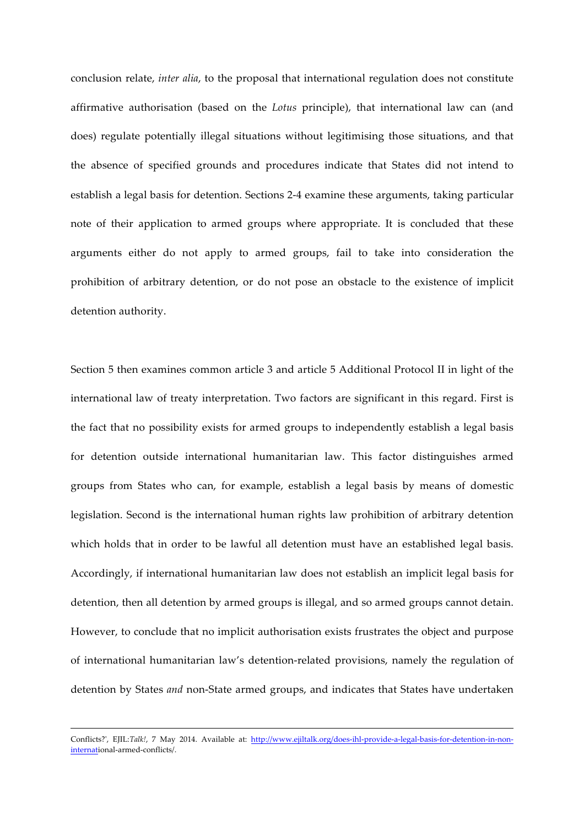conclusion relate, *inter alia*, to the proposal that international regulation does not constitute affirmative authorisation (based on the *Lotus* principle), that international law can (and does) regulate potentially illegal situations without legitimising those situations, and that the absence of specified grounds and procedures indicate that States did not intend to establish a legal basis for detention. Sections 2-4 examine these arguments, taking particular note of their application to armed groups where appropriate. It is concluded that these arguments either do not apply to armed groups, fail to take into consideration the prohibition of arbitrary detention, or do not pose an obstacle to the existence of implicit detention authority.

Section 5 then examines common article 3 and article 5 Additional Protocol II in light of the international law of treaty interpretation. Two factors are significant in this regard. First is the fact that no possibility exists for armed groups to independently establish a legal basis for detention outside international humanitarian law. This factor distinguishes armed groups from States who can, for example, establish a legal basis by means of domestic legislation. Second is the international human rights law prohibition of arbitrary detention which holds that in order to be lawful all detention must have an established legal basis. Accordingly, if international humanitarian law does not establish an implicit legal basis for detention, then all detention by armed groups is illegal, and so armed groups cannot detain. However, to conclude that no implicit authorisation exists frustrates the object and purpose of international humanitarian law's detention-related provisions, namely the regulation of detention by States *and* non-State armed groups, and indicates that States have undertaken

<sup>&</sup>lt;u> 1989 - Johann Stoff, amerikansk politiker (d. 1989)</u> Conflicts?', EJIL:*Talk!*, 7 May 2014. Available at: http://www.ejiltalk.org/does-ihl-provide-a-legal-basis-for-detention-in-noninternational-armed-conflicts/.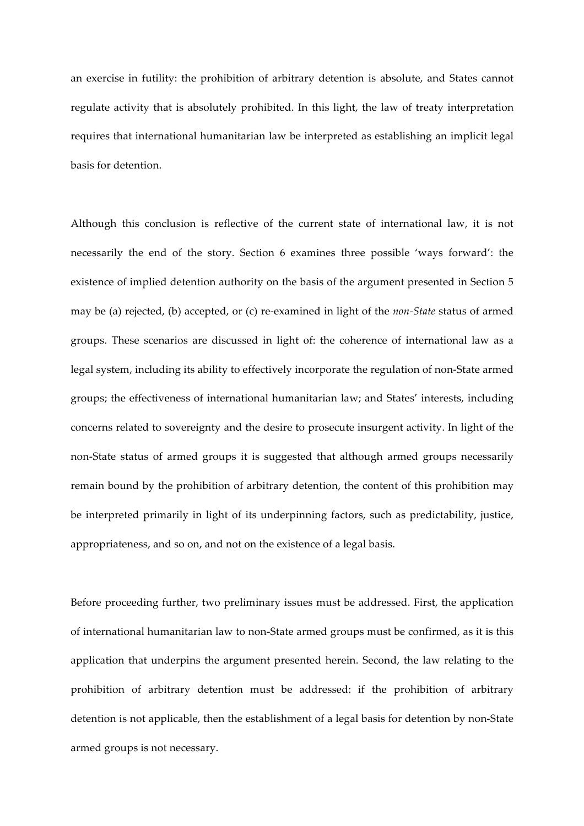an exercise in futility: the prohibition of arbitrary detention is absolute, and States cannot regulate activity that is absolutely prohibited. In this light, the law of treaty interpretation requires that international humanitarian law be interpreted as establishing an implicit legal basis for detention.

Although this conclusion is reflective of the current state of international law, it is not necessarily the end of the story. Section 6 examines three possible 'ways forward': the existence of implied detention authority on the basis of the argument presented in Section 5 may be (a) rejected, (b) accepted, or (c) re-examined in light of the *non-State* status of armed groups. These scenarios are discussed in light of: the coherence of international law as a legal system, including its ability to effectively incorporate the regulation of non-State armed groups; the effectiveness of international humanitarian law; and States' interests, including concerns related to sovereignty and the desire to prosecute insurgent activity. In light of the non-State status of armed groups it is suggested that although armed groups necessarily remain bound by the prohibition of arbitrary detention, the content of this prohibition may be interpreted primarily in light of its underpinning factors, such as predictability, justice, appropriateness, and so on, and not on the existence of a legal basis.

Before proceeding further, two preliminary issues must be addressed. First, the application of international humanitarian law to non-State armed groups must be confirmed, as it is this application that underpins the argument presented herein. Second, the law relating to the prohibition of arbitrary detention must be addressed: if the prohibition of arbitrary detention is not applicable, then the establishment of a legal basis for detention by non-State armed groups is not necessary.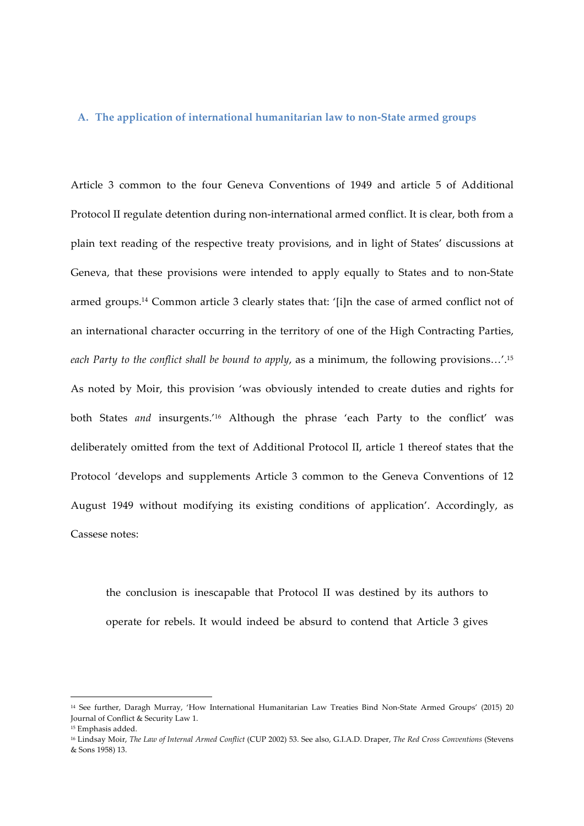#### **A. The application of international humanitarian law to non-State armed groups**

Article 3 common to the four Geneva Conventions of 1949 and article 5 of Additional Protocol II regulate detention during non-international armed conflict. It is clear, both from a plain text reading of the respective treaty provisions, and in light of States' discussions at Geneva, that these provisions were intended to apply equally to States and to non-State armed groups.14 Common article 3 clearly states that: '[i]n the case of armed conflict not of an international character occurring in the territory of one of the High Contracting Parties, *each Party to the conflict shall be bound to apply*, as a minimum, the following provisions…'.15 As noted by Moir, this provision 'was obviously intended to create duties and rights for both States *and* insurgents.'16 Although the phrase 'each Party to the conflict' was deliberately omitted from the text of Additional Protocol II, article 1 thereof states that the Protocol 'develops and supplements Article 3 common to the Geneva Conventions of 12 August 1949 without modifying its existing conditions of application'. Accordingly, as Cassese notes:

the conclusion is inescapable that Protocol II was destined by its authors to operate for rebels. It would indeed be absurd to contend that Article 3 gives

<sup>14</sup> See further, Daragh Murray, 'How International Humanitarian Law Treaties Bind Non-State Armed Groups' (2015) 20 Journal of Conflict & Security Law 1.

<sup>15</sup> Emphasis added.

<sup>16</sup> Lindsay Moir, *The Law of Internal Armed Conflict* (CUP 2002) 53. See also, G.I.A.D. Draper, *The Red Cross Conventions* (Stevens & Sons 1958) 13.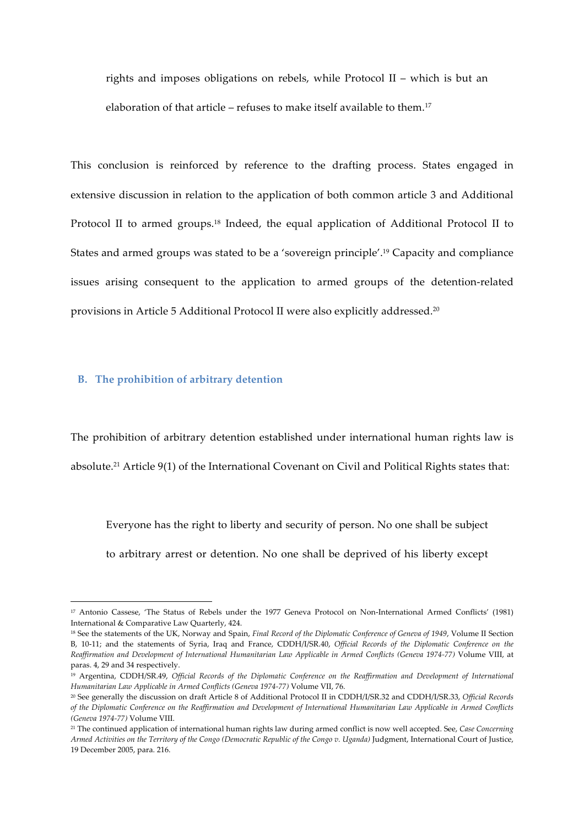rights and imposes obligations on rebels, while Protocol II – which is but an elaboration of that article – refuses to make itself available to them.<sup>17</sup>

This conclusion is reinforced by reference to the drafting process. States engaged in extensive discussion in relation to the application of both common article 3 and Additional Protocol II to armed groups.<sup>18</sup> Indeed, the equal application of Additional Protocol II to States and armed groups was stated to be a 'sovereign principle'.19 Capacity and compliance issues arising consequent to the application to armed groups of the detention-related provisions in Article 5 Additional Protocol II were also explicitly addressed.20

#### **B. The prohibition of arbitrary detention**

<u> 1989 - Johann Barn, mars ann an t-Amhain an t-Amhain an t-Amhain an t-Amhain an t-Amhain an t-Amhain an t-Amh</u>

The prohibition of arbitrary detention established under international human rights law is absolute.21 Article 9(1) of the International Covenant on Civil and Political Rights states that:

Everyone has the right to liberty and security of person. No one shall be subject to arbitrary arrest or detention. No one shall be deprived of his liberty except

<sup>17</sup> Antonio Cassese, 'The Status of Rebels under the 1977 Geneva Protocol on Non-International Armed Conflicts' (1981) International & Comparative Law Quarterly, 424.

<sup>18</sup> See the statements of the UK, Norway and Spain, *Final Record of the Diplomatic Conference of Geneva of 1949*, Volume II Section B, 10-11; and the statements of Syria, Iraq and France, CDDH/I/SR.40, *Official Records of the Diplomatic Conference on the Reaffirmation and Development of International Humanitarian Law Applicable in Armed Conflicts (Geneva 1974-77)* Volume VIII, at paras. 4, 29 and 34 respectively.

<sup>19</sup> Argentina, CDDH/SR.49, *Official Records of the Diplomatic Conference on the Reaffirmation and Development of International Humanitarian Law Applicable in Armed Conflicts (Geneva 1974-77)* Volume VII, 76.

<sup>20</sup> See generally the discussion on draft Article 8 of Additional Protocol II in CDDH/I/SR.32 and CDDH/I/SR.33, *Official Records of the Diplomatic Conference on the Reaffirmation and Development of International Humanitarian Law Applicable in Armed Conflicts (Geneva 1974-77)* Volume VIII.

<sup>21</sup> The continued application of international human rights law during armed conflict is now well accepted. See, *Case Concerning Armed Activities on the Territory of the Congo (Democratic Republic of the Congo v. Uganda)* Judgment, International Court of Justice, 19 December 2005, para. 216.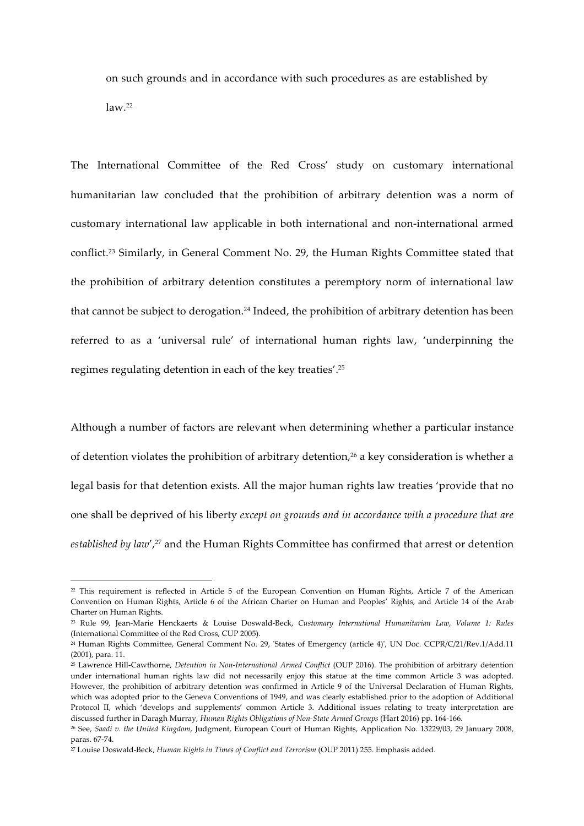on such grounds and in accordance with such procedures as are established by  $law.<sup>22</sup>$ 

The International Committee of the Red Cross' study on customary international humanitarian law concluded that the prohibition of arbitrary detention was a norm of customary international law applicable in both international and non-international armed conflict.23 Similarly, in General Comment No. 29, the Human Rights Committee stated that the prohibition of arbitrary detention constitutes a peremptory norm of international law that cannot be subject to derogation.<sup>24</sup> Indeed, the prohibition of arbitrary detention has been referred to as a 'universal rule' of international human rights law, 'underpinning the regimes regulating detention in each of the key treaties'.25

Although a number of factors are relevant when determining whether a particular instance of detention violates the prohibition of arbitrary detention,<sup>26</sup> a key consideration is whether a legal basis for that detention exists. All the major human rights law treaties 'provide that no one shall be deprived of his liberty *except on grounds and in accordance with a procedure that are*  established by law',<sup>27</sup> and the Human Rights Committee has confirmed that arrest or detention

 

 $22$  This requirement is reflected in Article 5 of the European Convention on Human Rights, Article 7 of the American Convention on Human Rights, Article 6 of the African Charter on Human and Peoples' Rights, and Article 14 of the Arab Charter on Human Rights.

<sup>23</sup> Rule 99, Jean-Marie Henckaerts & Louise Doswald-Beck, *Customary International Humanitarian Law, Volume 1: Rules* (International Committee of the Red Cross, CUP 2005).

<sup>24</sup> Human Rights Committee, General Comment No. 29, 'States of Emergency (article 4)', UN Doc. CCPR/C/21/Rev.1/Add.11 (2001), para. 11.

<sup>25</sup> Lawrence Hill-Cawthorne, *Detention in Non-International Armed Conflict* (OUP 2016). The prohibition of arbitrary detention under international human rights law did not necessarily enjoy this statue at the time common Article 3 was adopted. However, the prohibition of arbitrary detention was confirmed in Article 9 of the Universal Declaration of Human Rights, which was adopted prior to the Geneva Conventions of 1949, and was clearly established prior to the adoption of Additional Protocol II, which 'develops and supplements' common Article 3. Additional issues relating to treaty interpretation are discussed further in Daragh Murray, *Human Rights Obligations of Non-State Armed Groups* (Hart 2016) pp. 164-166.

<sup>26</sup> See, *Saadi v. the United Kingdom*, Judgment, European Court of Human Rights, Application No. 13229/03, 29 January 2008, paras. 67-74.

<sup>27</sup> Louise Doswald-Beck, *Human Rights in Times of Conflict and Terrorism* (OUP 2011) 255. Emphasis added.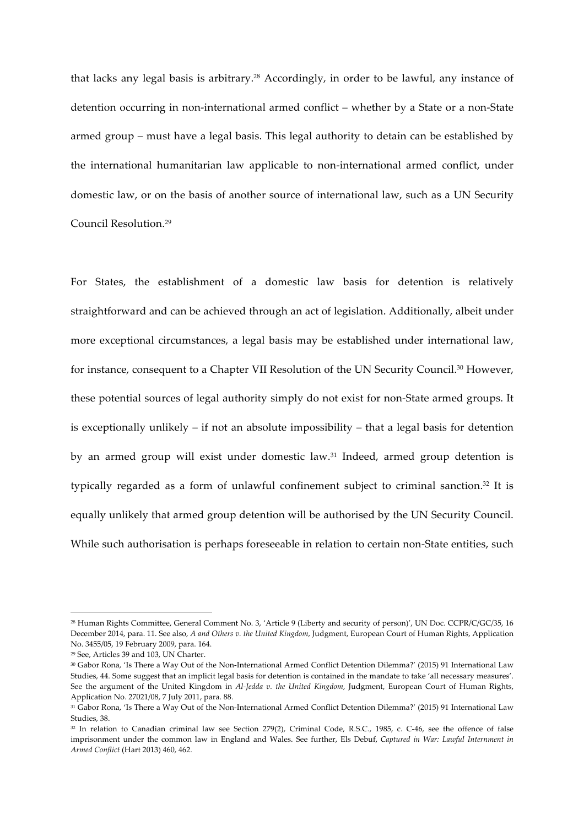that lacks any legal basis is arbitrary.<sup>28</sup> Accordingly, in order to be lawful, any instance of detention occurring in non-international armed conflict – whether by a State or a non-State armed group – must have a legal basis. This legal authority to detain can be established by the international humanitarian law applicable to non-international armed conflict, under domestic law, or on the basis of another source of international law, such as a UN Security Council Resolution.29

For States, the establishment of a domestic law basis for detention is relatively straightforward and can be achieved through an act of legislation. Additionally, albeit under more exceptional circumstances, a legal basis may be established under international law, for instance, consequent to a Chapter VII Resolution of the UN Security Council.<sup>30</sup> However, these potential sources of legal authority simply do not exist for non-State armed groups. It is exceptionally unlikely – if not an absolute impossibility – that a legal basis for detention by an armed group will exist under domestic law.<sup>31</sup> Indeed, armed group detention is typically regarded as a form of unlawful confinement subject to criminal sanction.<sup>32</sup> It is equally unlikely that armed group detention will be authorised by the UN Security Council. While such authorisation is perhaps foreseeable in relation to certain non-State entities, such

<sup>28</sup> Human Rights Committee, General Comment No. 3, 'Article 9 (Liberty and security of person)', UN Doc. CCPR/C/GC/35, 16 December 2014, para. 11. See also, *A and Others v. the United Kingdom*, Judgment, European Court of Human Rights, Application No. 3455/05, 19 February 2009, para. 164.

<sup>29</sup> See, Articles 39 and 103, UN Charter.

<sup>30</sup> Gabor Rona, 'Is There a Way Out of the Non-International Armed Conflict Detention Dilemma?' (2015) 91 International Law Studies, 44. Some suggest that an implicit legal basis for detention is contained in the mandate to take 'all necessary measures'. See the argument of the United Kingdom in *Al-Jedda v. the United Kingdom*, Judgment, European Court of Human Rights, Application No. 27021/08, 7 July 2011, para. 88.

<sup>31</sup> Gabor Rona, 'Is There a Way Out of the Non-International Armed Conflict Detention Dilemma?' (2015) 91 International Law Studies, 38.

<sup>32</sup> In relation to Canadian criminal law see Section 279(2), Criminal Code, R.S.C., 1985, c. C-46, see the offence of false imprisonment under the common law in England and Wales. See further, Els Debuf, *Captured in War: Lawful Internment in Armed Conflict* (Hart 2013) 460, 462.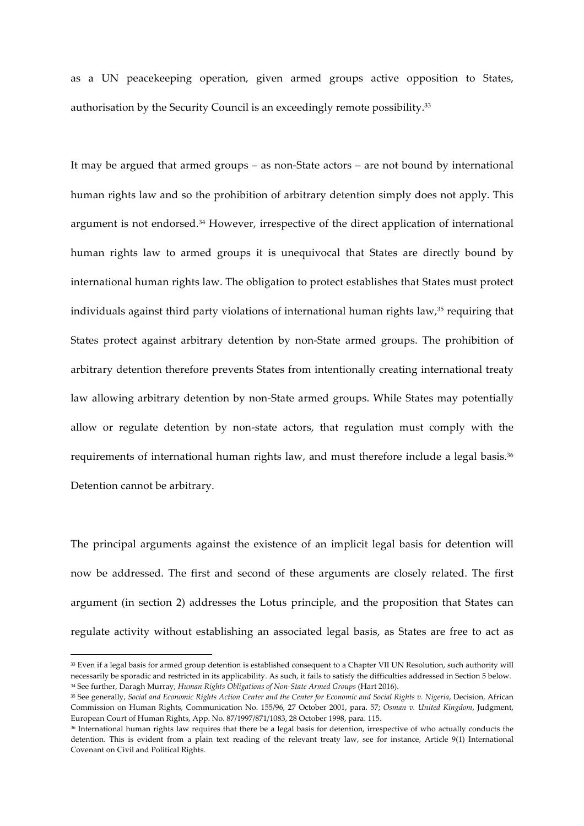as a UN peacekeeping operation, given armed groups active opposition to States, authorisation by the Security Council is an exceedingly remote possibility.33

It may be argued that armed groups – as non-State actors – are not bound by international human rights law and so the prohibition of arbitrary detention simply does not apply. This argument is not endorsed.<sup>34</sup> However, irrespective of the direct application of international human rights law to armed groups it is unequivocal that States are directly bound by international human rights law. The obligation to protect establishes that States must protect individuals against third party violations of international human rights law,<sup>35</sup> requiring that States protect against arbitrary detention by non-State armed groups. The prohibition of arbitrary detention therefore prevents States from intentionally creating international treaty law allowing arbitrary detention by non-State armed groups. While States may potentially allow or regulate detention by non-state actors, that regulation must comply with the requirements of international human rights law, and must therefore include a legal basis.36 Detention cannot be arbitrary.

The principal arguments against the existence of an implicit legal basis for detention will now be addressed. The first and second of these arguments are closely related. The first argument (in section 2) addresses the Lotus principle, and the proposition that States can regulate activity without establishing an associated legal basis, as States are free to act as

<sup>33</sup> Even if a legal basis for armed group detention is established consequent to a Chapter VII UN Resolution, such authority will necessarily be sporadic and restricted in its applicability. As such, it fails to satisfy the difficulties addressed in Section 5 below. <sup>34</sup> See further, Daragh Murray, *Human Rights Obligations of Non-State Armed Groups* (Hart 2016).

<sup>35</sup> See generally, *Social and Economic Rights Action Center and the Center for Economic and Social Rights v. Nigeria*, Decision, African Commission on Human Rights, Communication No. 155/96, 27 October 2001, para. 57; *Osman v. United Kingdom*, Judgment, European Court of Human Rights, App. No. 87/1997/871/1083, 28 October 1998, para. 115.

<sup>36</sup> International human rights law requires that there be a legal basis for detention, irrespective of who actually conducts the detention. This is evident from a plain text reading of the relevant treaty law, see for instance, Article 9(1) International Covenant on Civil and Political Rights.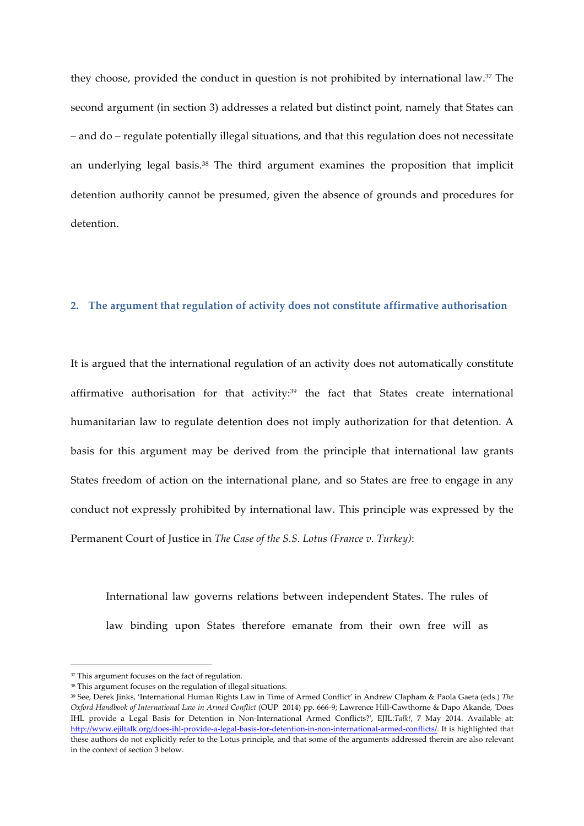they choose, provided the conduct in question is not prohibited by international law.37 The second argument (in section 3) addresses a related but distinct point, namely that States can – and do – regulate potentially illegal situations, and that this regulation does not necessitate an underlying legal basis.<sup>38</sup> The third argument examines the proposition that implicit detention authority cannot be presumed, given the absence of grounds and procedures for detention.

#### **2. The argument that regulation of activity does not constitute affirmative authorisation**

It is argued that the international regulation of an activity does not automatically constitute affirmative authorisation for that activity: <sup>39</sup> the fact that States create international humanitarian law to regulate detention does not imply authorization for that detention. A basis for this argument may be derived from the principle that international law grants States freedom of action on the international plane, and so States are free to engage in any conduct not expressly prohibited by international law. This principle was expressed by the Permanent Court of Justice in *The Case of the S.S. Lotus (France v. Turkey)*:

International law governs relations between independent States. The rules of law binding upon States therefore emanate from their own free will as

<sup>&</sup>lt;sup>37</sup> This argument focuses on the fact of regulation.

<sup>38</sup> This argument focuses on the regulation of illegal situations.

<sup>39</sup> See, Derek Jinks, 'International Human Rights Law in Time of Armed Conflict' in Andrew Clapham & Paola Gaeta (eds.) *The Oxford Handbook of International Law in Armed Conflict* (OUP 2014) pp. 666-9; Lawrence Hill-Cawthorne & Dapo Akande, 'Does IHL provide a Legal Basis for Detention in Non-International Armed Conflicts?', EJIL:*Talk!*, 7 May 2014. Available at: http://www.ejiltalk.org/does-ihl-provide-a-legal-basis-for-detention-in-non-international-armed-conflicts/. It is highlighted that these authors do not explicitly refer to the Lotus principle, and that some of the arguments addressed therein are also relevant in the context of section 3 below.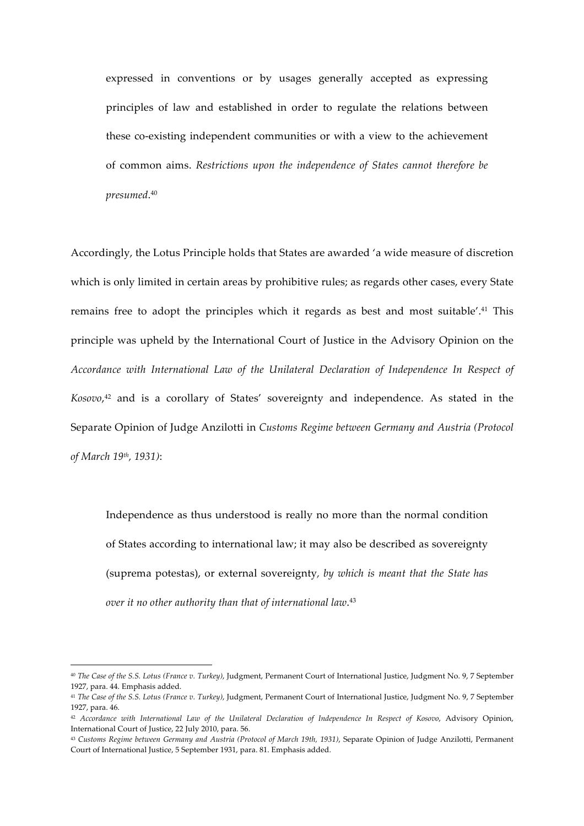expressed in conventions or by usages generally accepted as expressing principles of law and established in order to regulate the relations between these co-existing independent communities or with a view to the achievement of common aims. *Restrictions upon the independence of States cannot therefore be presumed*. 40

Accordingly, the Lotus Principle holds that States are awarded 'a wide measure of discretion which is only limited in certain areas by prohibitive rules; as regards other cases, every State remains free to adopt the principles which it regards as best and most suitable'.41 This principle was upheld by the International Court of Justice in the Advisory Opinion on the *Accordance with International Law of the Unilateral Declaration of Independence In Respect of Kosovo*, <sup>42</sup> and is a corollary of States' sovereignty and independence. As stated in the Separate Opinion of Judge Anzilotti in *Customs Regime between Germany and Austria (Protocol of March 19th, 1931)*:

Independence as thus understood is really no more than the normal condition of States according to international law; it may also be described as sovereignty (suprema potestas), or external sovereignty*, by which is meant that the State has over it no other authority than that of international law*. 43

<sup>40</sup> *The Case of the S.S. Lotus (France v. Turkey)*, Judgment, Permanent Court of International Justice, Judgment No. 9, 7 September 1927, para. 44. Emphasis added.

<sup>41</sup> *The Case of the S.S. Lotus (France v. Turkey)*, Judgment, Permanent Court of International Justice, Judgment No. 9, 7 September 1927, para. 46.

<sup>42</sup> *Accordance with International Law of the Unilateral Declaration of Independence In Respect of Kosovo*, Advisory Opinion, International Court of Justice, 22 July 2010, para. 56.

<sup>43</sup> *Customs Regime between Germany and Austria (Protocol of March 19th, 1931)*, Separate Opinion of Judge Anzilotti, Permanent Court of International Justice, 5 September 1931, para. 81. Emphasis added.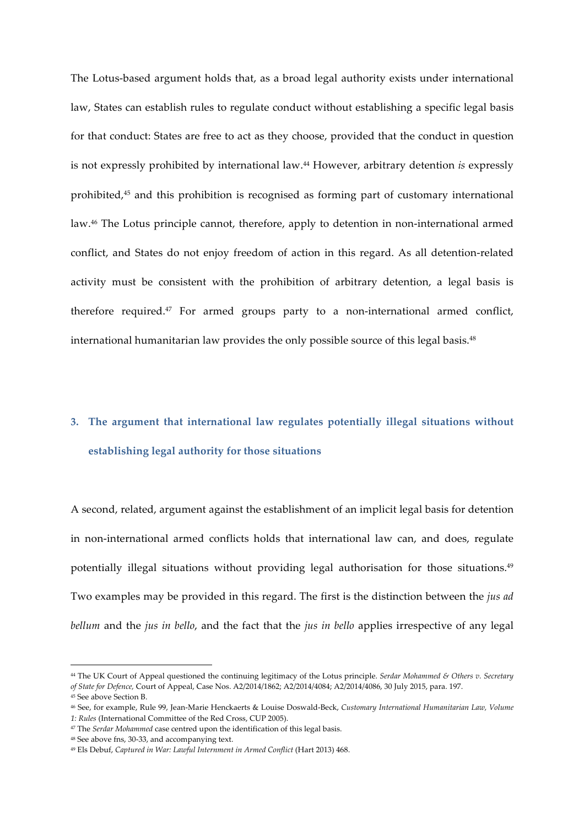The Lotus-based argument holds that, as a broad legal authority exists under international law, States can establish rules to regulate conduct without establishing a specific legal basis for that conduct: States are free to act as they choose, provided that the conduct in question is not expressly prohibited by international law.44 However, arbitrary detention *is* expressly prohibited,45 and this prohibition is recognised as forming part of customary international law.46 The Lotus principle cannot, therefore, apply to detention in non-international armed conflict, and States do not enjoy freedom of action in this regard. As all detention-related activity must be consistent with the prohibition of arbitrary detention, a legal basis is therefore required.47 For armed groups party to a non-international armed conflict, international humanitarian law provides the only possible source of this legal basis.<sup>48</sup>

### **3. The argument that international law regulates potentially illegal situations without establishing legal authority for those situations**

A second, related, argument against the establishment of an implicit legal basis for detention in non-international armed conflicts holds that international law can, and does, regulate potentially illegal situations without providing legal authorisation for those situations. 49 Two examples may be provided in this regard. The first is the distinction between the *jus ad bellum* and the *jus in bello*, and the fact that the *jus in bello* applies irrespective of any legal

<sup>44</sup> The UK Court of Appeal questioned the continuing legitimacy of the Lotus principle. *Serdar Mohammed & Others v. Secretary of State for Defence,* Court of Appeal, Case Nos. A2/2014/1862; A2/2014/4084; A2/2014/4086, 30 July 2015, para. 197.

<sup>45</sup> See above Section B.

<sup>46</sup> See, for example, Rule 99, Jean-Marie Henckaerts & Louise Doswald-Beck, *Customary International Humanitarian Law, Volume 1: Rules* (International Committee of the Red Cross, CUP 2005).

<sup>47</sup> The *Serdar Mohammed* case centred upon the identification of this legal basis.

<sup>48</sup> See above fns, 30-33, and accompanying text.

<sup>49</sup> Els Debuf, *Captured in War: Lawful Internment in Armed Conflict* (Hart 2013) 468.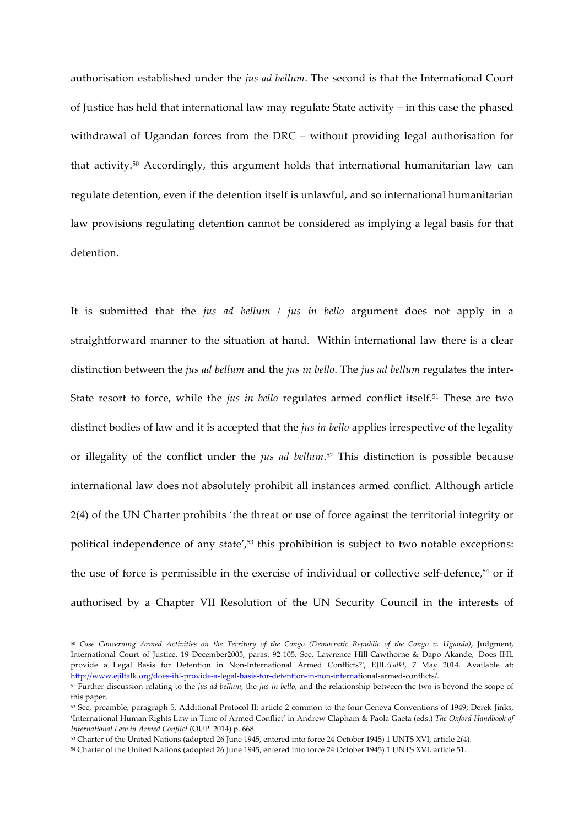authorisation established under the *jus ad bellum*. The second is that the International Court of Justice has held that international law may regulate State activity – in this case the phased withdrawal of Ugandan forces from the DRC – without providing legal authorisation for that activity.50 Accordingly, this argument holds that international humanitarian law can regulate detention, even if the detention itself is unlawful, and so international humanitarian law provisions regulating detention cannot be considered as implying a legal basis for that detention.

It is submitted that the *jus ad bellum / jus in bello* argument does not apply in a straightforward manner to the situation at hand. Within international law there is a clear distinction between the *jus ad bellum* and the *jus in bello*. The *jus ad bellum* regulates the inter-State resort to force, while the *jus in bello* regulates armed conflict itself.<sup>51</sup> These are two distinct bodies of law and it is accepted that the *jus in bello* applies irrespective of the legality or illegality of the conflict under the *jus ad bellum*. <sup>52</sup> This distinction is possible because international law does not absolutely prohibit all instances armed conflict. Although article 2(4) of the UN Charter prohibits 'the threat or use of force against the territorial integrity or political independence of any state',<sup>53</sup> this prohibition is subject to two notable exceptions: the use of force is permissible in the exercise of individual or collective self-defence,<sup>54</sup> or if authorised by a Chapter VII Resolution of the UN Security Council in the interests of

<sup>50</sup> *Case Concerning Armed Activities on the Territory of the Congo (Democratic Republic of the Congo v. Uganda)*, Judgment, International Court of Justice, 19 December2005, paras. 92-105. See, Lawrence Hill-Cawthorne & Dapo Akande, 'Does IHL provide a Legal Basis for Detention in Non-International Armed Conflicts?', EJIL:*Talk!*, 7 May 2014. Available at: http://www.ejiltalk.org/does-ihl-provide-a-legal-basis-for-detention-in-non-international-armed-conflicts/.

<u> 1989 - Johann Barn, mars eta bainar eta industrial eta baina eta baina eta baina eta baina eta baina eta bain</u>

<sup>51</sup> Further discussion relating to the *jus ad bellum,* the *jus in bello*, and the relationship between the two is beyond the scope of this paper.

<sup>52</sup> See, preamble, paragraph 5, Additional Protocol II; article 2 common to the four Geneva Conventions of 1949; Derek Jinks, 'International Human Rights Law in Time of Armed Conflict' in Andrew Clapham & Paola Gaeta (eds.) *The Oxford Handbook of International Law in Armed Conflict* (OUP 2014) p. 668.

<sup>53</sup> Charter of the United Nations (adopted 26 June 1945, entered into force 24 October 1945) 1 UNTS XVI, article 2(4).

<sup>54</sup> Charter of the United Nations (adopted 26 June 1945, entered into force 24 October 1945) 1 UNTS XVI, article 51.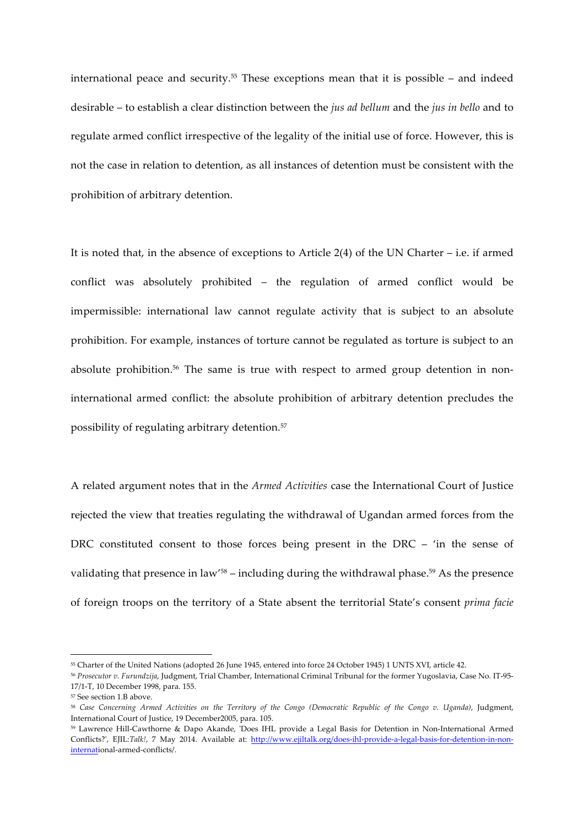international peace and security.55 These exceptions mean that it is possible – and indeed desirable – to establish a clear distinction between the *jus ad bellum* and the *jus in bello* and to regulate armed conflict irrespective of the legality of the initial use of force. However, this is not the case in relation to detention, as all instances of detention must be consistent with the prohibition of arbitrary detention.

It is noted that, in the absence of exceptions to Article 2(4) of the UN Charter – i.e. if armed conflict was absolutely prohibited – the regulation of armed conflict would be impermissible: international law cannot regulate activity that is subject to an absolute prohibition. For example, instances of torture cannot be regulated as torture is subject to an absolute prohibition.<sup>56</sup> The same is true with respect to armed group detention in noninternational armed conflict: the absolute prohibition of arbitrary detention precludes the possibility of regulating arbitrary detention.57

A related argument notes that in the *Armed Activities* case the International Court of Justice rejected the view that treaties regulating the withdrawal of Ugandan armed forces from the DRC constituted consent to those forces being present in the DRC – 'in the sense of validating that presence in law<sup>'58</sup> – including during the withdrawal phase.<sup>59</sup> As the presence of foreign troops on the territory of a State absent the territorial State's consent *prima facie* 

<sup>55</sup> Charter of the United Nations (adopted 26 June 1945, entered into force 24 October 1945) 1 UNTS XVI, article 42.

<sup>56</sup> *Prosecutor v. Furundzija*, Judgment, Trial Chamber, International Criminal Tribunal for the former Yugoslavia, Case No. IT-95- 17/1-T, 10 December 1998, para. 155.

<sup>57</sup> See section 1.B above.

<sup>58</sup> *Case Concerning Armed Activities on the Territory of the Congo (Democratic Republic of the Congo v. Uganda)*, Judgment, International Court of Justice, 19 December2005, para. 105.

<sup>59</sup> Lawrence Hill-Cawthorne & Dapo Akande, 'Does IHL provide a Legal Basis for Detention in Non-International Armed Conflicts?', EJIL:*Talk!*, 7 May 2014. Available at: http://www.ejiltalk.org/does-ihl-provide-a-legal-basis-for-detention-in-noninternational-armed-conflicts/.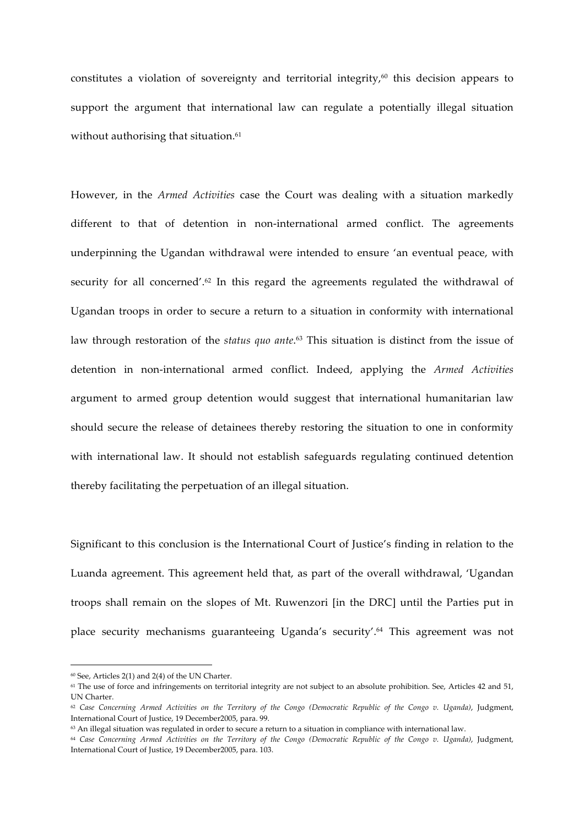constitutes a violation of sovereignty and territorial integrity,<sup>60</sup> this decision appears to support the argument that international law can regulate a potentially illegal situation without authorising that situation.<sup>61</sup>

However, in the *Armed Activities* case the Court was dealing with a situation markedly different to that of detention in non-international armed conflict. The agreements underpinning the Ugandan withdrawal were intended to ensure 'an eventual peace, with security for all concerned'.<sup>62</sup> In this regard the agreements regulated the withdrawal of Ugandan troops in order to secure a return to a situation in conformity with international law through restoration of the *status quo ante*. <sup>63</sup> This situation is distinct from the issue of detention in non-international armed conflict. Indeed, applying the *Armed Activities*  argument to armed group detention would suggest that international humanitarian law should secure the release of detainees thereby restoring the situation to one in conformity with international law. It should not establish safeguards regulating continued detention thereby facilitating the perpetuation of an illegal situation.

Significant to this conclusion is the International Court of Justice's finding in relation to the Luanda agreement. This agreement held that, as part of the overall withdrawal, 'Ugandan troops shall remain on the slopes of Mt. Ruwenzori [in the DRC] until the Parties put in place security mechanisms guaranteeing Uganda's security'.64 This agreement was not

 $^{60}$  See, Articles 2(1) and 2(4) of the UN Charter.

<sup>&</sup>lt;sup>61</sup> The use of force and infringements on territorial integrity are not subject to an absolute prohibition. See, Articles 42 and 51, UN Charter.

<sup>62</sup> *Case Concerning Armed Activities on the Territory of the Congo (Democratic Republic of the Congo v. Uganda)*, Judgment, International Court of Justice, 19 December2005, para. 99.

<sup>&</sup>lt;sup>63</sup> An illegal situation was regulated in order to secure a return to a situation in compliance with international law.

<sup>64</sup> *Case Concerning Armed Activities on the Territory of the Congo (Democratic Republic of the Congo v. Uganda)*, Judgment, International Court of Justice, 19 December2005, para. 103.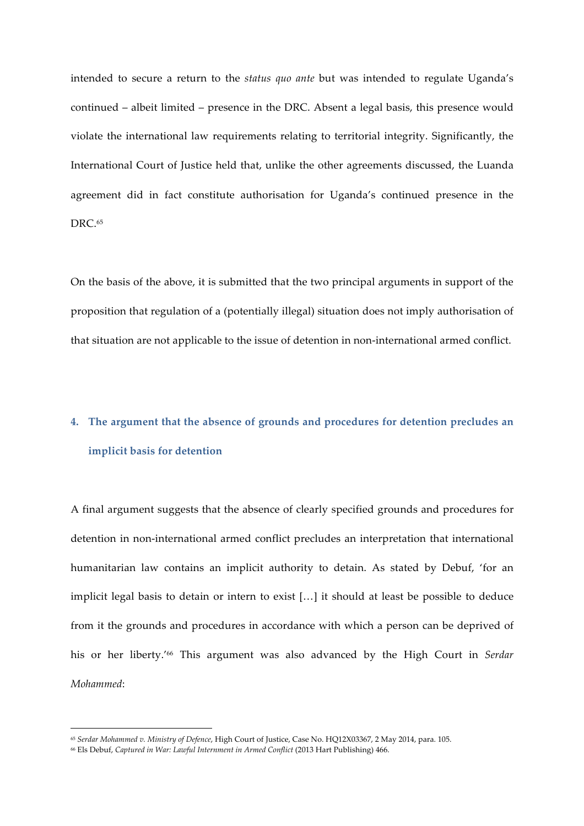intended to secure a return to the *status quo ante* but was intended to regulate Uganda's continued – albeit limited – presence in the DRC. Absent a legal basis, this presence would violate the international law requirements relating to territorial integrity. Significantly, the International Court of Justice held that, unlike the other agreements discussed, the Luanda agreement did in fact constitute authorisation for Uganda's continued presence in the DRC $65$ 

On the basis of the above, it is submitted that the two principal arguments in support of the proposition that regulation of a (potentially illegal) situation does not imply authorisation of that situation are not applicable to the issue of detention in non-international armed conflict.

# **4. The argument that the absence of grounds and procedures for detention precludes an implicit basis for detention**

A final argument suggests that the absence of clearly specified grounds and procedures for detention in non-international armed conflict precludes an interpretation that international humanitarian law contains an implicit authority to detain. As stated by Debuf, 'for an implicit legal basis to detain or intern to exist […] it should at least be possible to deduce from it the grounds and procedures in accordance with which a person can be deprived of his or her liberty.'66 This argument was also advanced by the High Court in *Serdar Mohammed*:

<sup>65</sup> *Serdar Mohammed v. Ministry of Defence*, High Court of Justice, Case No. HQ12X03367, 2 May 2014, para. 105.

<sup>66</sup> Els Debuf, *Captured in War: Lawful Internment in Armed Conflict* (2013 Hart Publishing) 466.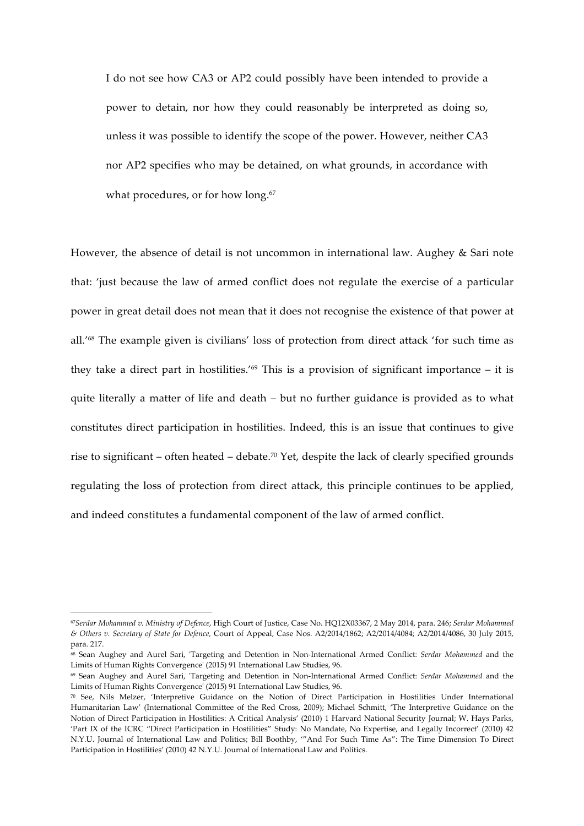I do not see how CA3 or AP2 could possibly have been intended to provide a power to detain, nor how they could reasonably be interpreted as doing so, unless it was possible to identify the scope of the power. However, neither CA3 nor AP2 specifies who may be detained, on what grounds, in accordance with what procedures, or for how long.<sup>67</sup>

However, the absence of detail is not uncommon in international law. Aughey & Sari note that: 'just because the law of armed conflict does not regulate the exercise of a particular power in great detail does not mean that it does not recognise the existence of that power at all.'68 The example given is civilians' loss of protection from direct attack 'for such time as they take a direct part in hostilities.'<sup>69</sup> This is a provision of significant importance  $-$  it is quite literally a matter of life and death – but no further guidance is provided as to what constitutes direct participation in hostilities. Indeed, this is an issue that continues to give rise to significant – often heated – debate.<sup>70</sup> Yet, despite the lack of clearly specified grounds regulating the loss of protection from direct attack, this principle continues to be applied, and indeed constitutes a fundamental component of the law of armed conflict.

<sup>67</sup>*Serdar Mohammed v. Ministry of Defence*, High Court of Justice, Case No. HQ12X03367, 2 May 2014, para. 246; *Serdar Mohammed & Others v. Secretary of State for Defence,* Court of Appeal, Case Nos. A2/2014/1862; A2/2014/4084; A2/2014/4086, 30 July 2015, para. 217.

<sup>68</sup> Sean Aughey and Aurel Sari, 'Targeting and Detention in Non-International Armed Conflict: *Serdar Mohammed* and the Limits of Human Rights Convergence' (2015) 91 International Law Studies, 96.

<sup>69</sup> Sean Aughey and Aurel Sari, 'Targeting and Detention in Non-International Armed Conflict: *Serdar Mohammed* and the Limits of Human Rights Convergence' (2015) 91 International Law Studies, 96.

<sup>70</sup> See, Nils Melzer, 'Interpretive Guidance on the Notion of Direct Participation in Hostilities Under International Humanitarian Law' (International Committee of the Red Cross, 2009); Michael Schmitt, 'The Interpretive Guidance on the Notion of Direct Participation in Hostilities: A Critical Analysis' (2010) 1 Harvard National Security Journal; W. Hays Parks, 'Part IX of the ICRC "Direct Participation in Hostilities" Study: No Mandate, No Expertise, and Legally Incorrect' (2010) 42 N.Y.U. Journal of International Law and Politics; Bill Boothby, '"And For Such Time As": The Time Dimension To Direct Participation in Hostilities' (2010) 42 N.Y.U. Journal of International Law and Politics.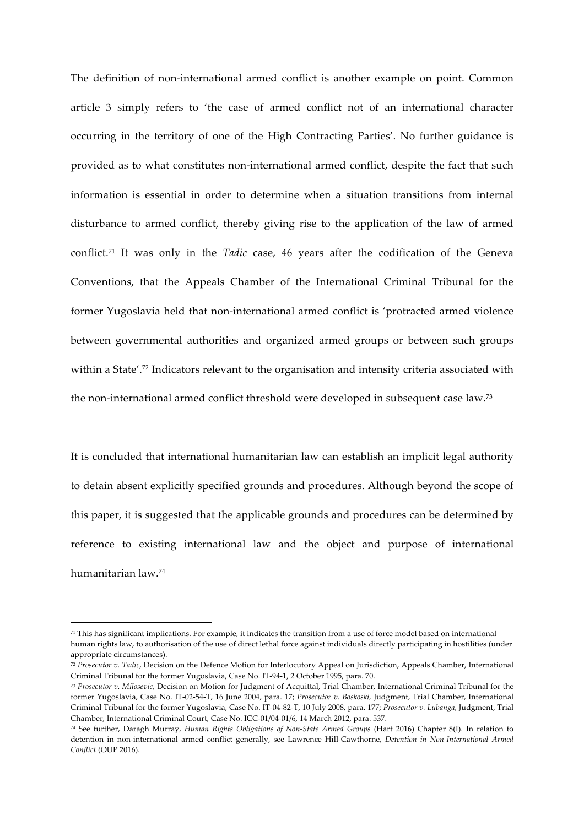The definition of non-international armed conflict is another example on point. Common article 3 simply refers to 'the case of armed conflict not of an international character occurring in the territory of one of the High Contracting Parties'. No further guidance is provided as to what constitutes non-international armed conflict, despite the fact that such information is essential in order to determine when a situation transitions from internal disturbance to armed conflict, thereby giving rise to the application of the law of armed conflict.71 It was only in the *Tadic* case, 46 years after the codification of the Geneva Conventions, that the Appeals Chamber of the International Criminal Tribunal for the former Yugoslavia held that non-international armed conflict is 'protracted armed violence between governmental authorities and organized armed groups or between such groups within a State'.<sup>72</sup> Indicators relevant to the organisation and intensity criteria associated with the non-international armed conflict threshold were developed in subsequent case law.73

It is concluded that international humanitarian law can establish an implicit legal authority to detain absent explicitly specified grounds and procedures. Although beyond the scope of this paper, it is suggested that the applicable grounds and procedures can be determined by reference to existing international law and the object and purpose of international humanitarian law.74

 $71$  This has significant implications. For example, it indicates the transition from a use of force model based on international human rights law, to authorisation of the use of direct lethal force against individuals directly participating in hostilities (under appropriate circumstances).

<sup>72</sup> *Prosecutor v. Tadic*, Decision on the Defence Motion for Interlocutory Appeal on Jurisdiction, Appeals Chamber, International Criminal Tribunal for the former Yugoslavia, Case No. IT-94-1, 2 October 1995, para. 70.

<sup>73</sup> *Prosecutor v. Milosevic*, Decision on Motion for Judgment of Acquittal, Trial Chamber, International Criminal Tribunal for the former Yugoslavia, Case No. IT-02-54-T, 16 June 2004, para. 17; *Prosecutor v. Boskoski,* Judgment, Trial Chamber, International Criminal Tribunal for the former Yugoslavia, Case No. IT-04-82-T, 10 July 2008, para. 177; *Prosecutor v. Lubanga*, Judgment, Trial Chamber, International Criminal Court, Case No. ICC-01/04-01/6, 14 March 2012, para. 537.

<sup>74</sup> See further, Daragh Murray, *Human Rights Obligations of Non-State Armed Groups* (Hart 2016) Chapter 8(I). In relation to detention in non-international armed conflict generally, see Lawrence Hill-Cawthorne, *Detention in Non-International Armed Conflict* (OUP 2016).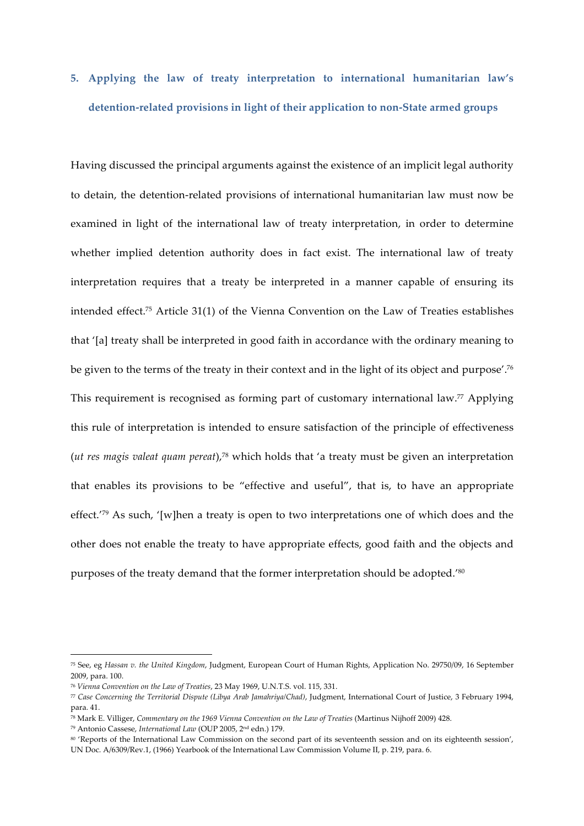# **5. Applying the law of treaty interpretation to international humanitarian law's detention-related provisions in light of their application to non-State armed groups**

Having discussed the principal arguments against the existence of an implicit legal authority to detain, the detention-related provisions of international humanitarian law must now be examined in light of the international law of treaty interpretation, in order to determine whether implied detention authority does in fact exist. The international law of treaty interpretation requires that a treaty be interpreted in a manner capable of ensuring its intended effect.75 Article 31(1) of the Vienna Convention on the Law of Treaties establishes that '[a] treaty shall be interpreted in good faith in accordance with the ordinary meaning to be given to the terms of the treaty in their context and in the light of its object and purpose'.76 This requirement is recognised as forming part of customary international law. <sup>77</sup> Applying this rule of interpretation is intended to ensure satisfaction of the principle of effectiveness (*ut res magis valeat quam pereat*),78 which holds that 'a treaty must be given an interpretation that enables its provisions to be "effective and useful", that is, to have an appropriate effect.'79 As such, '[w]hen a treaty is open to two interpretations one of which does and the other does not enable the treaty to have appropriate effects, good faith and the objects and purposes of the treaty demand that the former interpretation should be adopted.<sup>'80</sup>

<sup>75</sup> See, eg *Hassan v. the United Kingdom*, Judgment, European Court of Human Rights, Application No. 29750/09, 16 September 2009, para. 100.

<sup>76</sup> *Vienna Convention on the Law of Treaties*, 23 May 1969, U.N.T.S. vol. 115, 331.

<sup>77</sup> *Case Concerning the Territorial Dispute (Libya Arab Jamahriya/Chad)*, Judgment, International Court of Justice, 3 February 1994, para. 41.

<sup>78</sup> Mark E. Villiger, *Commentary on the 1969 Vienna Convention on the Law of Treaties* (Martinus Nijhoff 2009) 428.

<sup>79</sup> Antonio Cassese, *International Law* (OUP 2005, 2nd edn.) 179.

<sup>80 &#</sup>x27;Reports of the International Law Commission on the second part of its seventeenth session and on its eighteenth session', UN Doc. A/6309/Rev.1, (1966) Yearbook of the International Law Commission Volume II, p. 219, para. 6.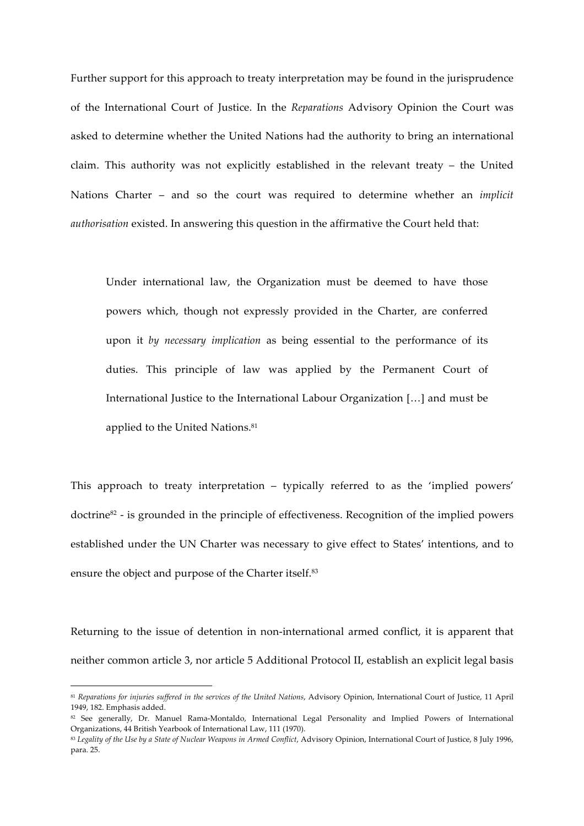Further support for this approach to treaty interpretation may be found in the jurisprudence of the International Court of Justice. In the *Reparations* Advisory Opinion the Court was asked to determine whether the United Nations had the authority to bring an international claim. This authority was not explicitly established in the relevant treaty – the United Nations Charter – and so the court was required to determine whether an *implicit authorisation* existed. In answering this question in the affirmative the Court held that:

Under international law, the Organization must be deemed to have those powers which, though not expressly provided in the Charter, are conferred upon it *by necessary implication* as being essential to the performance of its duties. This principle of law was applied by the Permanent Court of International Justice to the International Labour Organization […] and must be applied to the United Nations.<sup>81</sup>

This approach to treaty interpretation – typically referred to as the 'implied powers' doctrine82 - is grounded in the principle of effectiveness. Recognition of the implied powers established under the UN Charter was necessary to give effect to States' intentions, and to ensure the object and purpose of the Charter itself.<sup>83</sup>

Returning to the issue of detention in non-international armed conflict, it is apparent that neither common article 3, nor article 5 Additional Protocol II, establish an explicit legal basis

 

<sup>81</sup> *Reparations for injuries suffered in the services of the United Nations*, Advisory Opinion, International Court of Justice, 11 April 1949, 182. Emphasis added.

<sup>82</sup> See generally, Dr. Manuel Rama-Montaldo, International Legal Personality and Implied Powers of International Organizations, 44 British Yearbook of International Law, 111 (1970).

<sup>&</sup>lt;sup>83</sup> Legality of the Use by a State of Nuclear Weapons in Armed Conflict, Advisory Opinion, International Court of Justice, 8 July 1996, para. 25.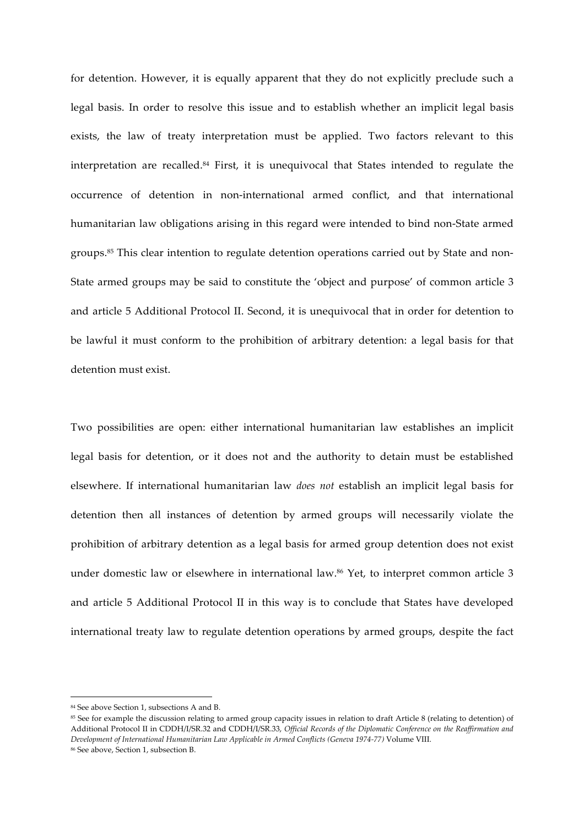for detention. However, it is equally apparent that they do not explicitly preclude such a legal basis. In order to resolve this issue and to establish whether an implicit legal basis exists, the law of treaty interpretation must be applied. Two factors relevant to this interpretation are recalled.84 First, it is unequivocal that States intended to regulate the occurrence of detention in non-international armed conflict, and that international humanitarian law obligations arising in this regard were intended to bind non-State armed groups.85 This clear intention to regulate detention operations carried out by State and non-State armed groups may be said to constitute the 'object and purpose' of common article 3 and article 5 Additional Protocol II. Second, it is unequivocal that in order for detention to be lawful it must conform to the prohibition of arbitrary detention: a legal basis for that detention must exist.

Two possibilities are open: either international humanitarian law establishes an implicit legal basis for detention, or it does not and the authority to detain must be established elsewhere. If international humanitarian law *does not* establish an implicit legal basis for detention then all instances of detention by armed groups will necessarily violate the prohibition of arbitrary detention as a legal basis for armed group detention does not exist under domestic law or elsewhere in international law.<sup>86</sup> Yet, to interpret common article 3 and article 5 Additional Protocol II in this way is to conclude that States have developed international treaty law to regulate detention operations by armed groups, despite the fact

<sup>&</sup>lt;u> 1989 - Johann Barn, mars ann an t-Amhain an t-Amhain an t-Amhain an t-Amhain an t-Amhain an t-Amhain an t-Amh</u> <sup>84</sup> See above Section 1, subsections A and B.

<sup>85</sup> See for example the discussion relating to armed group capacity issues in relation to draft Article 8 (relating to detention) of Additional Protocol II in CDDH/I/SR.32 and CDDH/I/SR.33, *Official Records of the Diplomatic Conference on the Reaffirmation and Development of International Humanitarian Law Applicable in Armed Conflicts (Geneva 1974-77)* Volume VIII. <sup>86</sup> See above, Section 1, subsection B.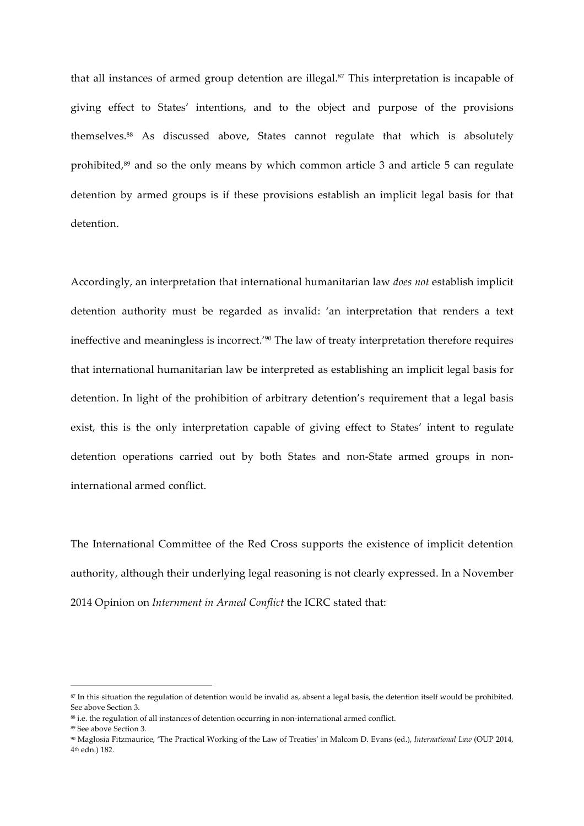that all instances of armed group detention are illegal.<sup>87</sup> This interpretation is incapable of giving effect to States' intentions, and to the object and purpose of the provisions themselves.88 As discussed above, States cannot regulate that which is absolutely prohibited,<sup>89</sup> and so the only means by which common article 3 and article 5 can regulate detention by armed groups is if these provisions establish an implicit legal basis for that detention.

Accordingly, an interpretation that international humanitarian law *does not* establish implicit detention authority must be regarded as invalid: 'an interpretation that renders a text ineffective and meaningless is incorrect.'90 The law of treaty interpretation therefore requires that international humanitarian law be interpreted as establishing an implicit legal basis for detention. In light of the prohibition of arbitrary detention's requirement that a legal basis exist, this is the only interpretation capable of giving effect to States' intent to regulate detention operations carried out by both States and non-State armed groups in noninternational armed conflict.

The International Committee of the Red Cross supports the existence of implicit detention authority, although their underlying legal reasoning is not clearly expressed. In a November 2014 Opinion on *Internment in Armed Conflict* the ICRC stated that:

 

<sup>87</sup> In this situation the regulation of detention would be invalid as, absent a legal basis, the detention itself would be prohibited. See above Section 3.

<sup>88</sup> i.e. the regulation of all instances of detention occurring in non-international armed conflict.

<sup>89</sup> See above Section 3.

<sup>90</sup> Maglosia Fitzmaurice, 'The Practical Working of the Law of Treaties' in Malcom D. Evans (ed.), *International Law* (OUP 2014, 4th edn.) 182.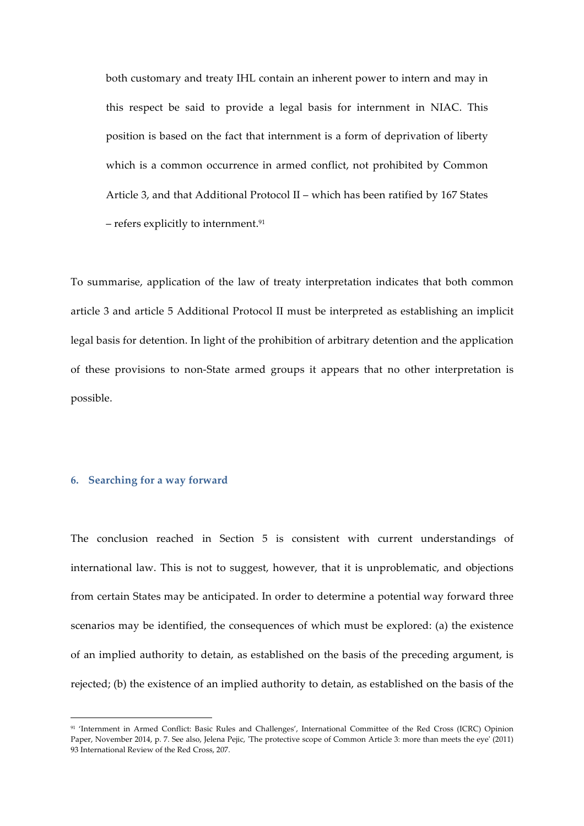both customary and treaty IHL contain an inherent power to intern and may in this respect be said to provide a legal basis for internment in NIAC. This position is based on the fact that internment is a form of deprivation of liberty which is a common occurrence in armed conflict, not prohibited by Common Article 3, and that Additional Protocol II – which has been ratified by 167 States – refers explicitly to internment.<sup>91</sup>

To summarise, application of the law of treaty interpretation indicates that both common article 3 and article 5 Additional Protocol II must be interpreted as establishing an implicit legal basis for detention. In light of the prohibition of arbitrary detention and the application of these provisions to non-State armed groups it appears that no other interpretation is possible.

### **6. Searching for a way forward**

<u> 1989 - Johann Barn, mars ann an t-Amhain an t-Amhain an t-Amhain an t-Amhain an t-Amhain an t-Amhain an t-Amh</u>

The conclusion reached in Section 5 is consistent with current understandings of international law. This is not to suggest, however, that it is unproblematic, and objections from certain States may be anticipated. In order to determine a potential way forward three scenarios may be identified, the consequences of which must be explored: (a) the existence of an implied authority to detain, as established on the basis of the preceding argument, is rejected; (b) the existence of an implied authority to detain, as established on the basis of the

<sup>91 &#</sup>x27;Internment in Armed Conflict: Basic Rules and Challenges', International Committee of the Red Cross (ICRC) Opinion Paper, November 2014, p. 7. See also, Jelena Pejic, 'The protective scope of Common Article 3: more than meets the eye' (2011) 93 International Review of the Red Cross, 207.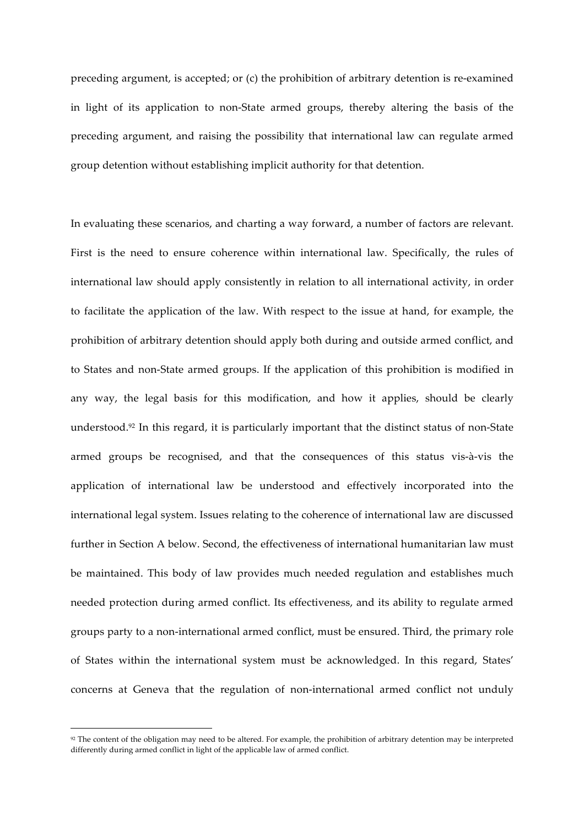preceding argument, is accepted; or (c) the prohibition of arbitrary detention is re-examined in light of its application to non-State armed groups, thereby altering the basis of the preceding argument, and raising the possibility that international law can regulate armed group detention without establishing implicit authority for that detention.

In evaluating these scenarios, and charting a way forward, a number of factors are relevant. First is the need to ensure coherence within international law. Specifically, the rules of international law should apply consistently in relation to all international activity, in order to facilitate the application of the law. With respect to the issue at hand, for example, the prohibition of arbitrary detention should apply both during and outside armed conflict, and to States and non-State armed groups. If the application of this prohibition is modified in any way, the legal basis for this modification, and how it applies, should be clearly understood.92 In this regard, it is particularly important that the distinct status of non-State armed groups be recognised, and that the consequences of this status vis-à-vis the application of international law be understood and effectively incorporated into the international legal system. Issues relating to the coherence of international law are discussed further in Section A below. Second, the effectiveness of international humanitarian law must be maintained. This body of law provides much needed regulation and establishes much needed protection during armed conflict. Its effectiveness, and its ability to regulate armed groups party to a non-international armed conflict, must be ensured. Third, the primary role of States within the international system must be acknowledged. In this regard, States' concerns at Geneva that the regulation of non-international armed conflict not unduly

<sup>&</sup>lt;sup>92</sup> The content of the obligation may need to be altered. For example, the prohibition of arbitrary detention may be interpreted differently during armed conflict in light of the applicable law of armed conflict.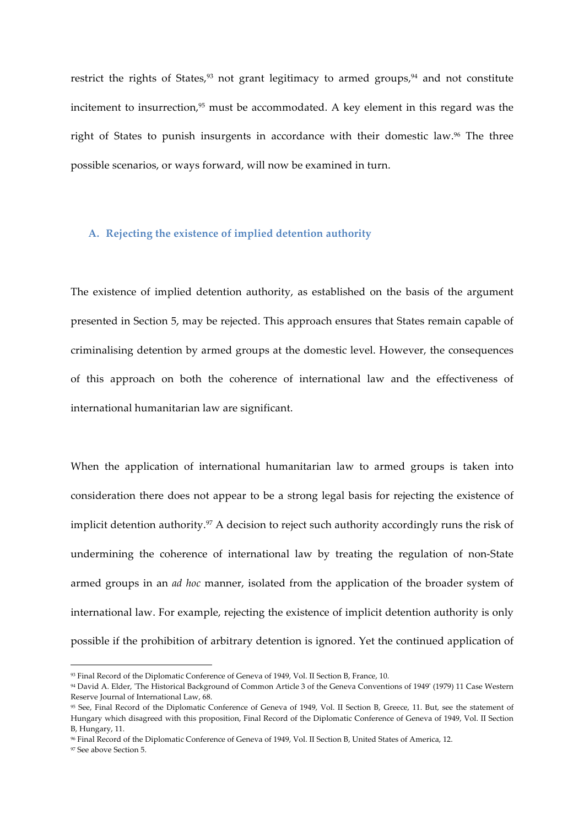restrict the rights of States,<sup>93</sup> not grant legitimacy to armed groups,<sup>94</sup> and not constitute incitement to insurrection, $95$  must be accommodated. A key element in this regard was the right of States to punish insurgents in accordance with their domestic law.<sup>96</sup> The three possible scenarios, or ways forward, will now be examined in turn.

### **A. Rejecting the existence of implied detention authority**

The existence of implied detention authority, as established on the basis of the argument presented in Section 5, may be rejected. This approach ensures that States remain capable of criminalising detention by armed groups at the domestic level. However, the consequences of this approach on both the coherence of international law and the effectiveness of international humanitarian law are significant.

When the application of international humanitarian law to armed groups is taken into consideration there does not appear to be a strong legal basis for rejecting the existence of implicit detention authority.<sup>97</sup> A decision to reject such authority accordingly runs the risk of undermining the coherence of international law by treating the regulation of non-State armed groups in an *ad hoc* manner, isolated from the application of the broader system of international law. For example, rejecting the existence of implicit detention authority is only possible if the prohibition of arbitrary detention is ignored. Yet the continued application of

<sup>93</sup> Final Record of the Diplomatic Conference of Geneva of 1949, Vol. II Section B, France, 10.

<sup>94</sup> David A. Elder, 'The Historical Background of Common Article 3 of the Geneva Conventions of 1949' (1979) 11 Case Western Reserve Journal of International Law, 68.

<sup>95</sup> See, Final Record of the Diplomatic Conference of Geneva of 1949, Vol. II Section B, Greece, 11. But, see the statement of Hungary which disagreed with this proposition, Final Record of the Diplomatic Conference of Geneva of 1949, Vol. II Section B, Hungary, 11.

<sup>96</sup> Final Record of the Diplomatic Conference of Geneva of 1949, Vol. II Section B, United States of America, 12.

<sup>97</sup> See above Section 5.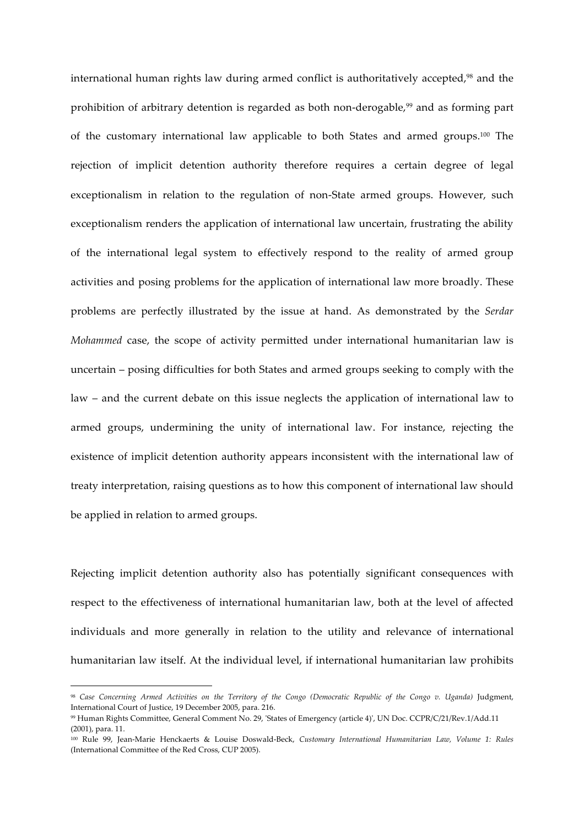international human rights law during armed conflict is authoritatively accepted,<sup>98</sup> and the prohibition of arbitrary detention is regarded as both non-derogable,<sup>99</sup> and as forming part of the customary international law applicable to both States and armed groups.100 The rejection of implicit detention authority therefore requires a certain degree of legal exceptionalism in relation to the regulation of non-State armed groups. However, such exceptionalism renders the application of international law uncertain, frustrating the ability of the international legal system to effectively respond to the reality of armed group activities and posing problems for the application of international law more broadly. These problems are perfectly illustrated by the issue at hand. As demonstrated by the *Serdar Mohammed* case, the scope of activity permitted under international humanitarian law is uncertain – posing difficulties for both States and armed groups seeking to comply with the law – and the current debate on this issue neglects the application of international law to armed groups, undermining the unity of international law. For instance, rejecting the existence of implicit detention authority appears inconsistent with the international law of treaty interpretation, raising questions as to how this component of international law should be applied in relation to armed groups.

Rejecting implicit detention authority also has potentially significant consequences with respect to the effectiveness of international humanitarian law, both at the level of affected individuals and more generally in relation to the utility and relevance of international humanitarian law itself. At the individual level, if international humanitarian law prohibits

 

<sup>98</sup> *Case Concerning Armed Activities on the Territory of the Congo (Democratic Republic of the Congo v. Uganda)* Judgment, International Court of Justice, 19 December 2005, para. 216.

<sup>99</sup> Human Rights Committee, General Comment No. 29, 'States of Emergency (article 4)', UN Doc. CCPR/C/21/Rev.1/Add.11 (2001), para. 11.

<sup>100</sup> Rule 99, Jean-Marie Henckaerts & Louise Doswald-Beck, *Customary International Humanitarian Law, Volume 1: Rules* (International Committee of the Red Cross, CUP 2005).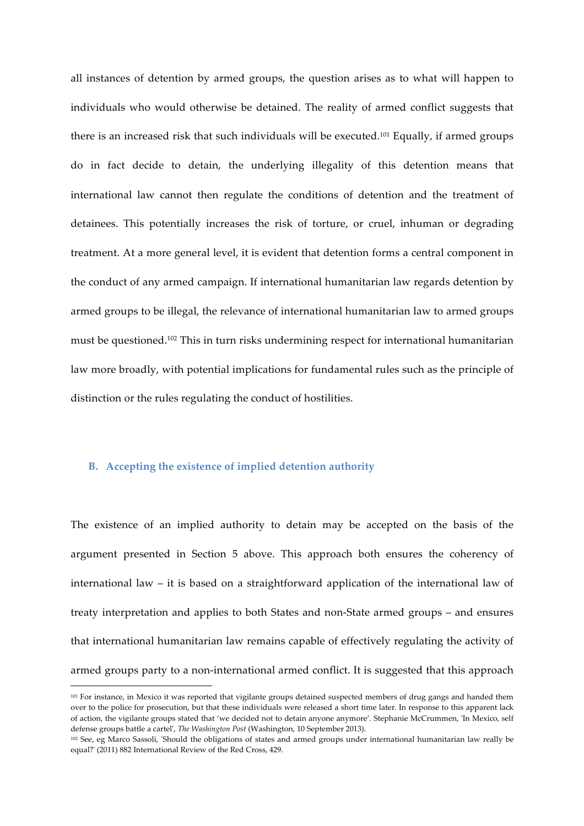all instances of detention by armed groups, the question arises as to what will happen to individuals who would otherwise be detained. The reality of armed conflict suggests that there is an increased risk that such individuals will be executed.<sup>101</sup> Equally, if armed groups do in fact decide to detain, the underlying illegality of this detention means that international law cannot then regulate the conditions of detention and the treatment of detainees. This potentially increases the risk of torture, or cruel, inhuman or degrading treatment. At a more general level, it is evident that detention forms a central component in the conduct of any armed campaign. If international humanitarian law regards detention by armed groups to be illegal, the relevance of international humanitarian law to armed groups must be questioned.102 This in turn risks undermining respect for international humanitarian law more broadly, with potential implications for fundamental rules such as the principle of distinction or the rules regulating the conduct of hostilities.

### **B. Accepting the existence of implied detention authority**

 

The existence of an implied authority to detain may be accepted on the basis of the argument presented in Section 5 above. This approach both ensures the coherency of international law – it is based on a straightforward application of the international law of treaty interpretation and applies to both States and non-State armed groups – and ensures that international humanitarian law remains capable of effectively regulating the activity of armed groups party to a non-international armed conflict. It is suggested that this approach

<sup>101</sup> For instance, in Mexico it was reported that vigilante groups detained suspected members of drug gangs and handed them over to the police for prosecution, but that these individuals were released a short time later. In response to this apparent lack of action, the vigilante groups stated that 'we decided not to detain anyone anymore'. Stephanie McCrummen, 'In Mexico, self defense groups battle a cartel', *The Washington Post* (Washington, 10 September 2013).

<sup>102</sup> See, eg Marco Sassoli, 'Should the obligations of states and armed groups under international humanitarian law really be equal?' (2011) 882 International Review of the Red Cross, 429.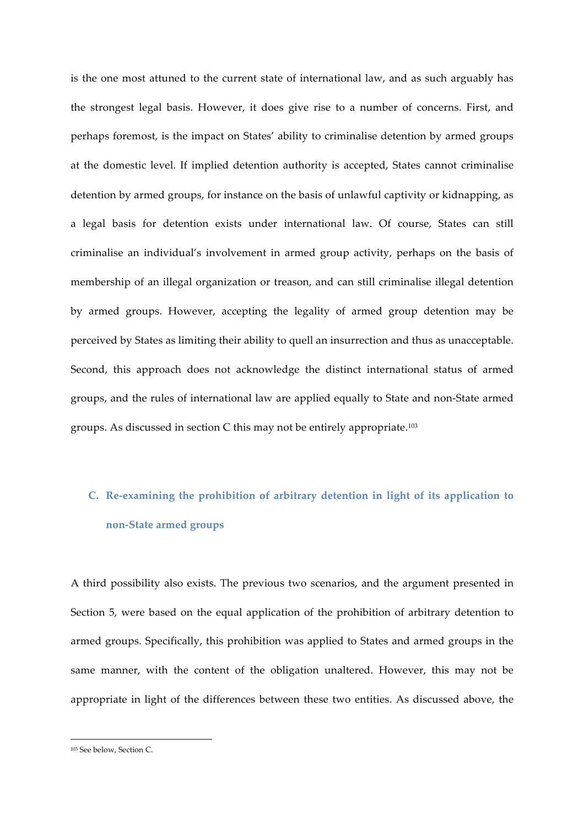is the one most attuned to the current state of international law, and as such arguably has the strongest legal basis. However, it does give rise to a number of concerns. First, and perhaps foremost, is the impact on States' ability to criminalise detention by armed groups at the domestic level. If implied detention authority is accepted, States cannot criminalise detention by armed groups, for instance on the basis of unlawful captivity or kidnapping, as a legal basis for detention exists under international law. Of course, States can still criminalise an individual's involvement in armed group activity, perhaps on the basis of membership of an illegal organization or treason, and can still criminalise illegal detention by armed groups. However, accepting the legality of armed group detention may be perceived by States as limiting their ability to quell an insurrection and thus as unacceptable. Second, this approach does not acknowledge the distinct international status of armed groups, and the rules of international law are applied equally to State and non-State armed groups. As discussed in section C this may not be entirely appropriate.103

# **C. Re-examining the prohibition of arbitrary detention in light of its application to non-State armed groups**

A third possibility also exists. The previous two scenarios, and the argument presented in Section 5, were based on the equal application of the prohibition of arbitrary detention to armed groups. Specifically, this prohibition was applied to States and armed groups in the same manner, with the content of the obligation unaltered. However, this may not be appropriate in light of the differences between these two entities. As discussed above, the

 

<sup>103</sup> See below, Section C.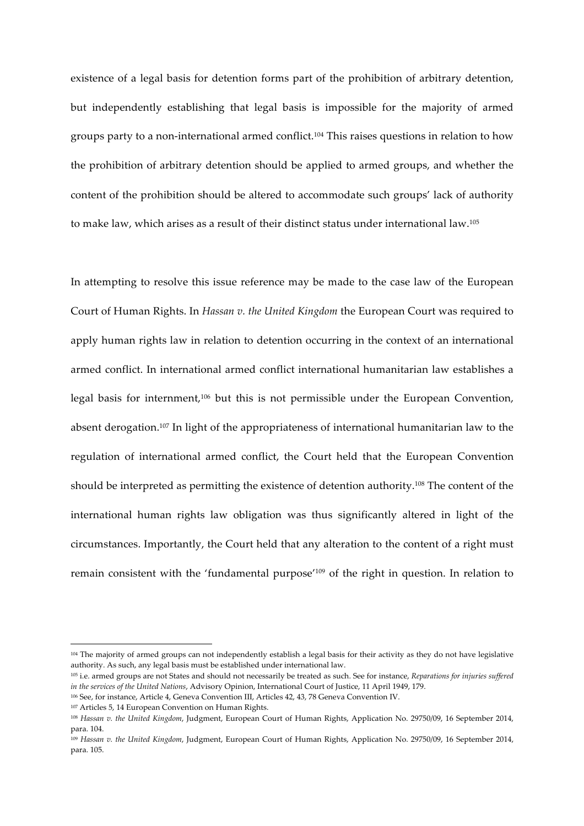existence of a legal basis for detention forms part of the prohibition of arbitrary detention, but independently establishing that legal basis is impossible for the majority of armed groups party to a non-international armed conflict.104 This raises questions in relation to how the prohibition of arbitrary detention should be applied to armed groups, and whether the content of the prohibition should be altered to accommodate such groups' lack of authority to make law, which arises as a result of their distinct status under international law.105

In attempting to resolve this issue reference may be made to the case law of the European Court of Human Rights. In *Hassan v. the United Kingdom* the European Court was required to apply human rights law in relation to detention occurring in the context of an international armed conflict. In international armed conflict international humanitarian law establishes a legal basis for internment,106 but this is not permissible under the European Convention, absent derogation.107 In light of the appropriateness of international humanitarian law to the regulation of international armed conflict, the Court held that the European Convention should be interpreted as permitting the existence of detention authority.108 The content of the international human rights law obligation was thus significantly altered in light of the circumstances. Importantly, the Court held that any alteration to the content of a right must remain consistent with the 'fundamental purpose'109 of the right in question. In relation to

<sup>104</sup> The majority of armed groups can not independently establish a legal basis for their activity as they do not have legislative authority. As such, any legal basis must be established under international law.

<sup>105</sup> i.e. armed groups are not States and should not necessarily be treated as such. See for instance, *Reparations for injuries suffered in the services of the United Nations*, Advisory Opinion, International Court of Justice, 11 April 1949, 179.

<sup>106</sup> See, for instance, Article 4, Geneva Convention III, Articles 42, 43, 78 Geneva Convention IV.

<sup>107</sup> Articles 5, 14 European Convention on Human Rights.

<sup>108</sup> *Hassan v. the United Kingdom*, Judgment, European Court of Human Rights, Application No. 29750/09, 16 September 2014, para. 104.

<sup>109</sup> *Hassan v. the United Kingdom*, Judgment, European Court of Human Rights, Application No. 29750/09, 16 September 2014, para. 105.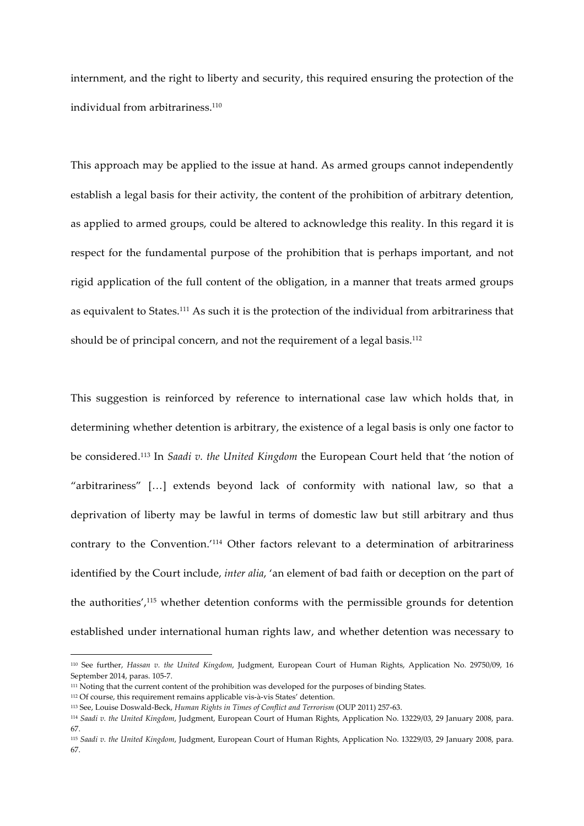internment, and the right to liberty and security, this required ensuring the protection of the individual from arbitrariness.<sup>110</sup>

This approach may be applied to the issue at hand. As armed groups cannot independently establish a legal basis for their activity, the content of the prohibition of arbitrary detention, as applied to armed groups, could be altered to acknowledge this reality. In this regard it is respect for the fundamental purpose of the prohibition that is perhaps important, and not rigid application of the full content of the obligation, in a manner that treats armed groups as equivalent to States. <sup>111</sup> As such it is the protection of the individual from arbitrariness that should be of principal concern, and not the requirement of a legal basis.<sup>112</sup>

This suggestion is reinforced by reference to international case law which holds that, in determining whether detention is arbitrary, the existence of a legal basis is only one factor to be considered.113 In *Saadi v. the United Kingdom* the European Court held that 'the notion of "arbitrariness" […] extends beyond lack of conformity with national law, so that a deprivation of liberty may be lawful in terms of domestic law but still arbitrary and thus contrary to the Convention.'114 Other factors relevant to a determination of arbitrariness identified by the Court include, *inter alia*, 'an element of bad faith or deception on the part of the authorities',115 whether detention conforms with the permissible grounds for detention established under international human rights law, and whether detention was necessary to

<sup>110</sup> See further, *Hassan v. the United Kingdom*, Judgment, European Court of Human Rights, Application No. 29750/09, 16 September 2014, paras. 105-7.

<sup>111</sup> Noting that the current content of the prohibition was developed for the purposes of binding States.

<sup>112</sup> Of course, this requirement remains applicable vis-à-vis States' detention.

<sup>113</sup> See, Louise Doswald-Beck, *Human Rights in Times of Conflict and Terrorism* (OUP 2011) 257-63.

<sup>114</sup> *Saadi v. the United Kingdom*, Judgment, European Court of Human Rights, Application No. 13229/03, 29 January 2008, para. 67.

<sup>115</sup> *Saadi v. the United Kingdom*, Judgment, European Court of Human Rights, Application No. 13229/03, 29 January 2008, para. 67.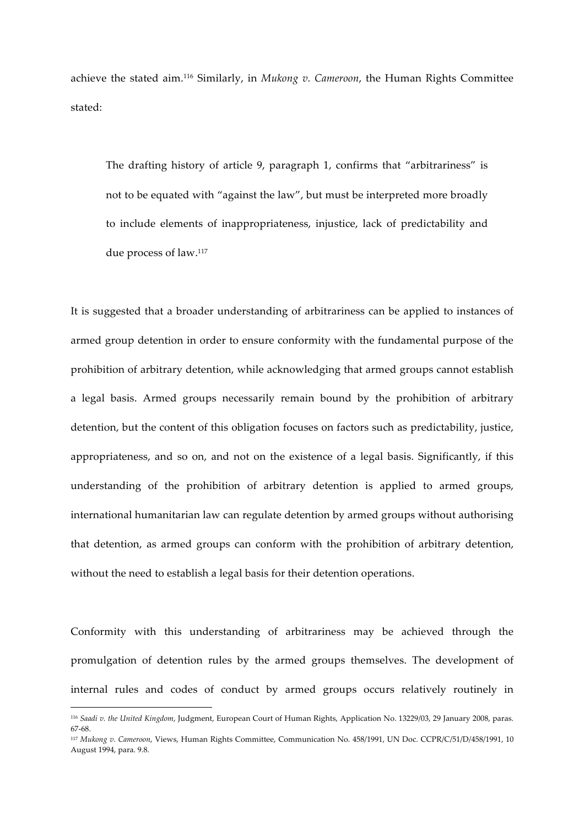achieve the stated aim.116 Similarly, in *Mukong v. Cameroon*, the Human Rights Committee stated:

The drafting history of article 9, paragraph 1, confirms that "arbitrariness" is not to be equated with "against the law", but must be interpreted more broadly to include elements of inappropriateness, injustice, lack of predictability and due process of law.117

It is suggested that a broader understanding of arbitrariness can be applied to instances of armed group detention in order to ensure conformity with the fundamental purpose of the prohibition of arbitrary detention, while acknowledging that armed groups cannot establish a legal basis. Armed groups necessarily remain bound by the prohibition of arbitrary detention, but the content of this obligation focuses on factors such as predictability, justice, appropriateness, and so on, and not on the existence of a legal basis. Significantly, if this understanding of the prohibition of arbitrary detention is applied to armed groups, international humanitarian law can regulate detention by armed groups without authorising that detention, as armed groups can conform with the prohibition of arbitrary detention, without the need to establish a legal basis for their detention operations.

Conformity with this understanding of arbitrariness may be achieved through the promulgation of detention rules by the armed groups themselves. The development of internal rules and codes of conduct by armed groups occurs relatively routinely in

<sup>116</sup> *Saadi v. the United Kingdom*, Judgment, European Court of Human Rights, Application No. 13229/03, 29 January 2008, paras. 67-68.

<sup>117</sup> *Mukong v. Cameroon*, Views, Human Rights Committee, Communication No. 458/1991, UN Doc. CCPR/C/51/D/458/1991, 10 August 1994, para. 9.8.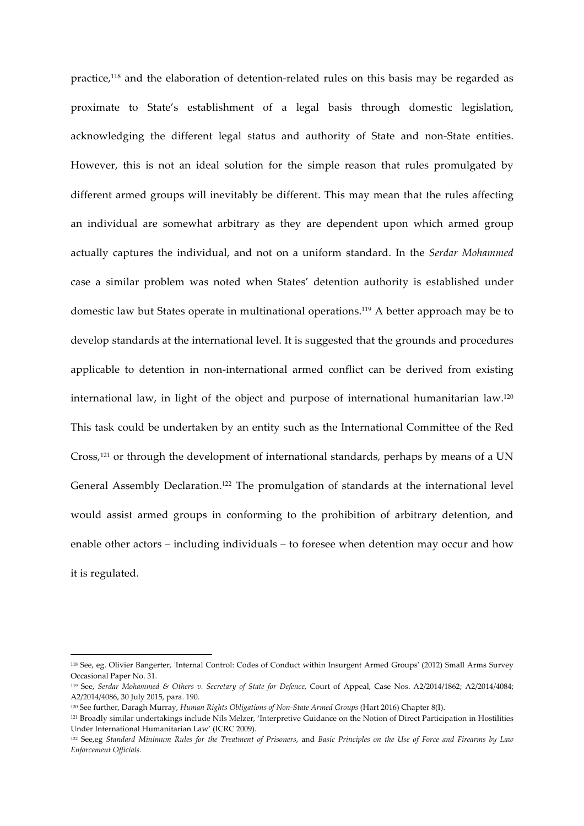practice,<sup>118</sup> and the elaboration of detention-related rules on this basis may be regarded as proximate to State's establishment of a legal basis through domestic legislation, acknowledging the different legal status and authority of State and non-State entities. However, this is not an ideal solution for the simple reason that rules promulgated by different armed groups will inevitably be different. This may mean that the rules affecting an individual are somewhat arbitrary as they are dependent upon which armed group actually captures the individual, and not on a uniform standard. In the *Serdar Mohammed*  case a similar problem was noted when States' detention authority is established under domestic law but States operate in multinational operations.119 A better approach may be to develop standards at the international level. It is suggested that the grounds and procedures applicable to detention in non-international armed conflict can be derived from existing international law, in light of the object and purpose of international humanitarian law.<sup>120</sup> This task could be undertaken by an entity such as the International Committee of the Red Cross,121 or through the development of international standards, perhaps by means of a UN General Assembly Declaration.<sup>122</sup> The promulgation of standards at the international level would assist armed groups in conforming to the prohibition of arbitrary detention, and enable other actors – including individuals – to foresee when detention may occur and how it is regulated.

<sup>118</sup> See, eg. Olivier Bangerter, 'Internal Control: Codes of Conduct within Insurgent Armed Groups' (2012) Small Arms Survey Occasional Paper No. 31.

<sup>119</sup> See, *Serdar Mohammed & Others v. Secretary of State for Defence,* Court of Appeal, Case Nos. A2/2014/1862; A2/2014/4084; A2/2014/4086, 30 July 2015, para. 190.

<sup>120</sup> See further, Daragh Murray, *Human Rights Obligations of Non-State Armed Groups* (Hart 2016) Chapter 8(I).

<sup>121</sup> Broadly similar undertakings include Nils Melzer, 'Interpretive Guidance on the Notion of Direct Participation in Hostilities Under International Humanitarian Law' (ICRC 2009).

<sup>122</sup> See,eg *Standard Minimum Rules for the Treatment of Prisoners*, and *Basic Principles on the Use of Force and Firearms by Law Enforcement Officials*.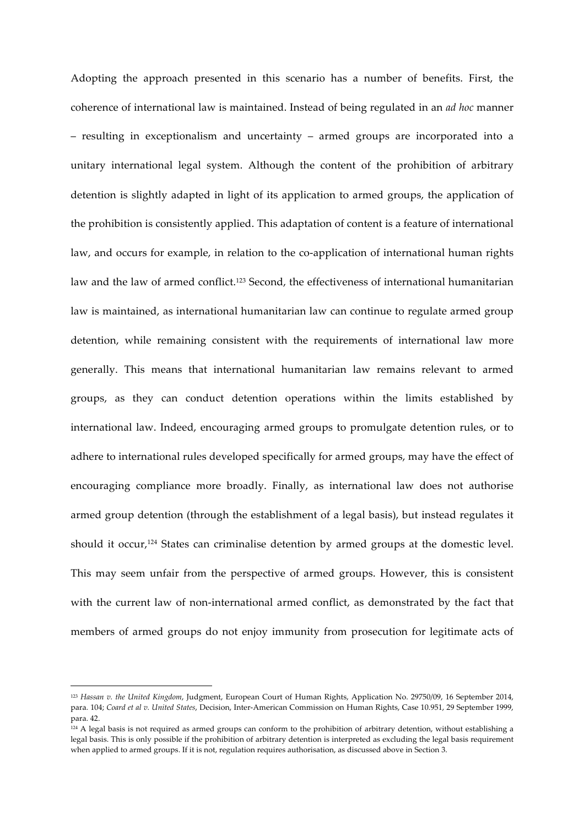Adopting the approach presented in this scenario has a number of benefits. First, the coherence of international law is maintained. Instead of being regulated in an *ad hoc* manner – resulting in exceptionalism and uncertainty – armed groups are incorporated into a unitary international legal system. Although the content of the prohibition of arbitrary detention is slightly adapted in light of its application to armed groups, the application of the prohibition is consistently applied. This adaptation of content is a feature of international law, and occurs for example, in relation to the co-application of international human rights law and the law of armed conflict.<sup>123</sup> Second, the effectiveness of international humanitarian law is maintained, as international humanitarian law can continue to regulate armed group detention, while remaining consistent with the requirements of international law more generally. This means that international humanitarian law remains relevant to armed groups, as they can conduct detention operations within the limits established by international law. Indeed, encouraging armed groups to promulgate detention rules, or to adhere to international rules developed specifically for armed groups, may have the effect of encouraging compliance more broadly. Finally, as international law does not authorise armed group detention (through the establishment of a legal basis), but instead regulates it should it occur,<sup>124</sup> States can criminalise detention by armed groups at the domestic level. This may seem unfair from the perspective of armed groups. However, this is consistent with the current law of non-international armed conflict, as demonstrated by the fact that members of armed groups do not enjoy immunity from prosecution for legitimate acts of

 

<sup>123</sup> *Hassan v. the United Kingdom*, Judgment, European Court of Human Rights, Application No. 29750/09, 16 September 2014, para. 104; *Coard et al v. United States*, Decision, Inter-American Commission on Human Rights, Case 10.951, 29 September 1999, para. 42.

<sup>124</sup> A legal basis is not required as armed groups can conform to the prohibition of arbitrary detention, without establishing a legal basis. This is only possible if the prohibition of arbitrary detention is interpreted as excluding the legal basis requirement when applied to armed groups. If it is not, regulation requires authorisation, as discussed above in Section 3.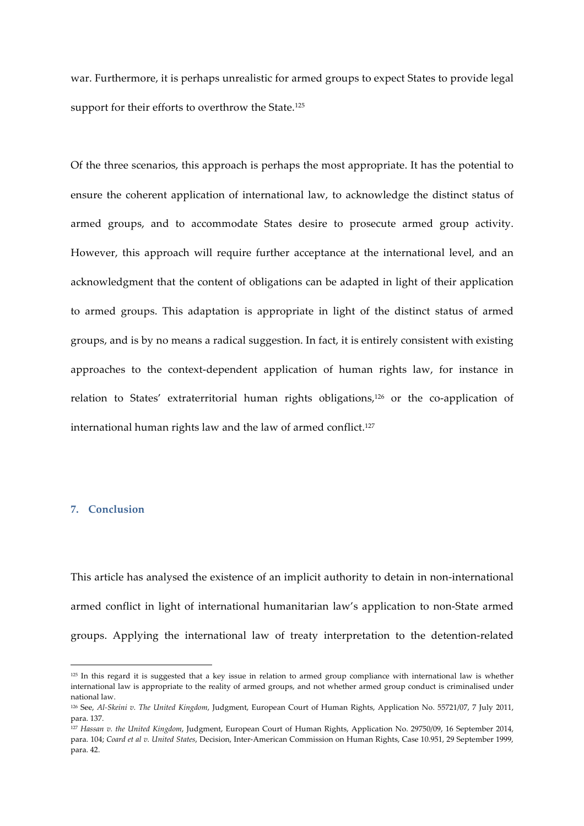war. Furthermore, it is perhaps unrealistic for armed groups to expect States to provide legal support for their efforts to overthrow the State.<sup>125</sup>

Of the three scenarios, this approach is perhaps the most appropriate. It has the potential to ensure the coherent application of international law, to acknowledge the distinct status of armed groups, and to accommodate States desire to prosecute armed group activity. However, this approach will require further acceptance at the international level, and an acknowledgment that the content of obligations can be adapted in light of their application to armed groups. This adaptation is appropriate in light of the distinct status of armed groups, and is by no means a radical suggestion. In fact, it is entirely consistent with existing approaches to the context-dependent application of human rights law, for instance in relation to States' extraterritorial human rights obligations,<sup>126</sup> or the co-application of international human rights law and the law of armed conflict.<sup>127</sup>

### **7. Conclusion**

<u> 1989 - Johann Barn, mars ann an t-Amhain an t-Amhain an t-Amhain an t-Amhain an t-Amhain an t-Amhain an t-Amh</u>

This article has analysed the existence of an implicit authority to detain in non-international armed conflict in light of international humanitarian law's application to non-State armed groups. Applying the international law of treaty interpretation to the detention-related

<sup>125</sup> In this regard it is suggested that a key issue in relation to armed group compliance with international law is whether international law is appropriate to the reality of armed groups, and not whether armed group conduct is criminalised under national law.

<sup>126</sup> See, *Al-Skeini v. The United Kingdom*, Judgment, European Court of Human Rights, Application No. 55721/07, 7 July 2011, para. 137.

<sup>127</sup> *Hassan v. the United Kingdom*, Judgment, European Court of Human Rights, Application No. 29750/09, 16 September 2014, para. 104; *Coard et al v. United States*, Decision, Inter-American Commission on Human Rights, Case 10.951, 29 September 1999, para. 42.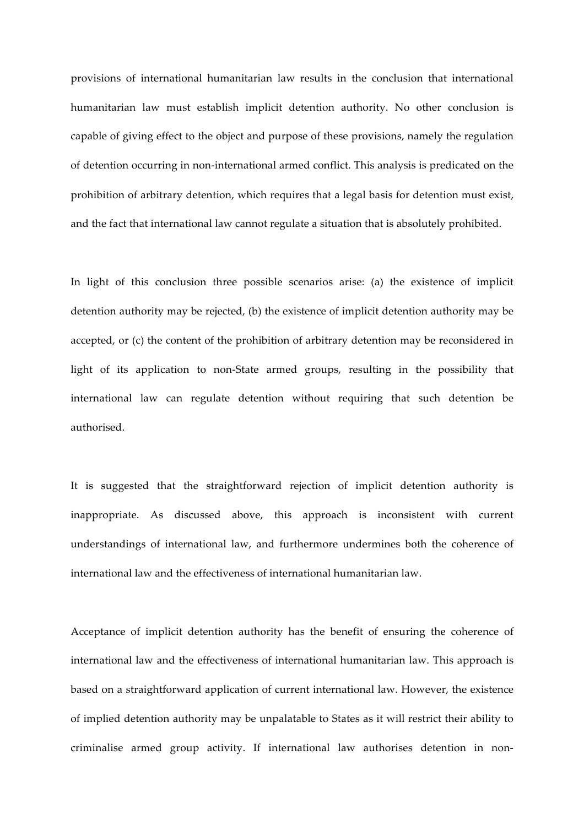provisions of international humanitarian law results in the conclusion that international humanitarian law must establish implicit detention authority. No other conclusion is capable of giving effect to the object and purpose of these provisions, namely the regulation of detention occurring in non-international armed conflict. This analysis is predicated on the prohibition of arbitrary detention, which requires that a legal basis for detention must exist, and the fact that international law cannot regulate a situation that is absolutely prohibited.

In light of this conclusion three possible scenarios arise: (a) the existence of implicit detention authority may be rejected, (b) the existence of implicit detention authority may be accepted, or (c) the content of the prohibition of arbitrary detention may be reconsidered in light of its application to non-State armed groups, resulting in the possibility that international law can regulate detention without requiring that such detention be authorised.

It is suggested that the straightforward rejection of implicit detention authority is inappropriate. As discussed above, this approach is inconsistent with current understandings of international law, and furthermore undermines both the coherence of international law and the effectiveness of international humanitarian law.

Acceptance of implicit detention authority has the benefit of ensuring the coherence of international law and the effectiveness of international humanitarian law. This approach is based on a straightforward application of current international law. However, the existence of implied detention authority may be unpalatable to States as it will restrict their ability to criminalise armed group activity. If international law authorises detention in non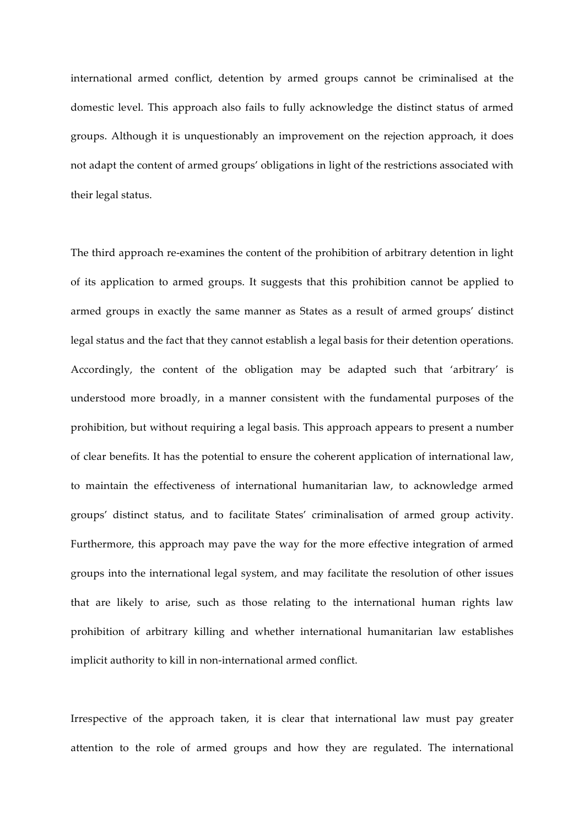international armed conflict, detention by armed groups cannot be criminalised at the domestic level. This approach also fails to fully acknowledge the distinct status of armed groups. Although it is unquestionably an improvement on the rejection approach, it does not adapt the content of armed groups' obligations in light of the restrictions associated with their legal status.

The third approach re-examines the content of the prohibition of arbitrary detention in light of its application to armed groups. It suggests that this prohibition cannot be applied to armed groups in exactly the same manner as States as a result of armed groups' distinct legal status and the fact that they cannot establish a legal basis for their detention operations. Accordingly, the content of the obligation may be adapted such that 'arbitrary' is understood more broadly, in a manner consistent with the fundamental purposes of the prohibition, but without requiring a legal basis. This approach appears to present a number of clear benefits. It has the potential to ensure the coherent application of international law, to maintain the effectiveness of international humanitarian law, to acknowledge armed groups' distinct status, and to facilitate States' criminalisation of armed group activity. Furthermore, this approach may pave the way for the more effective integration of armed groups into the international legal system, and may facilitate the resolution of other issues that are likely to arise, such as those relating to the international human rights law prohibition of arbitrary killing and whether international humanitarian law establishes implicit authority to kill in non-international armed conflict.

Irrespective of the approach taken, it is clear that international law must pay greater attention to the role of armed groups and how they are regulated. The international